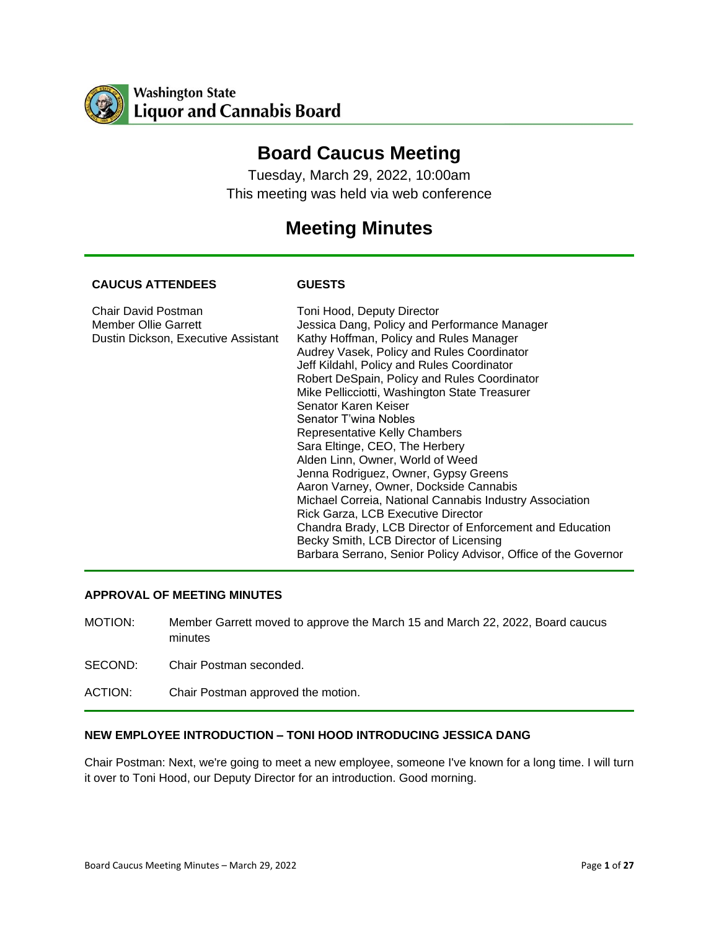

## **Board Caucus Meeting**

Tuesday, March 29, 2022, 10:00am This meeting was held via web conference

# **Meeting Minutes**

## **CAUCUS ATTENDEES**

#### **GUESTS**

| Chair David Postman                 | Toni Hood, Deputy Director                                     |
|-------------------------------------|----------------------------------------------------------------|
| <b>Member Ollie Garrett</b>         | Jessica Dang, Policy and Performance Manager                   |
| Dustin Dickson, Executive Assistant | Kathy Hoffman, Policy and Rules Manager                        |
|                                     | Audrey Vasek, Policy and Rules Coordinator                     |
|                                     | Jeff Kildahl, Policy and Rules Coordinator                     |
|                                     | Robert DeSpain, Policy and Rules Coordinator                   |
|                                     | Mike Pellicciotti, Washington State Treasurer                  |
|                                     | Senator Karen Keiser                                           |
|                                     | Senator T'wina Nobles                                          |
|                                     | <b>Representative Kelly Chambers</b>                           |
|                                     | Sara Eltinge, CEO, The Herbery                                 |
|                                     | Alden Linn, Owner, World of Weed                               |
|                                     | Jenna Rodriguez, Owner, Gypsy Greens                           |
|                                     | Aaron Varney, Owner, Dockside Cannabis                         |
|                                     | Michael Correia, National Cannabis Industry Association        |
|                                     | Rick Garza, LCB Executive Director                             |
|                                     | Chandra Brady, LCB Director of Enforcement and Education       |
|                                     | Becky Smith, LCB Director of Licensing                         |
|                                     | Barbara Serrano, Senior Policy Advisor, Office of the Governor |
|                                     |                                                                |

#### **APPROVAL OF MEETING MINUTES**

MOTION: Member Garrett moved to approve the March 15 and March 22, 2022, Board caucus minutes

SECOND: Chair Postman seconded.

ACTION: Chair Postman approved the motion.

#### **NEW EMPLOYEE INTRODUCTION – TONI HOOD INTRODUCING JESSICA DANG**

Chair Postman: Next, we're going to meet a new employee, someone I've known for a long time. I will turn it over to Toni Hood, our Deputy Director for an introduction. Good morning.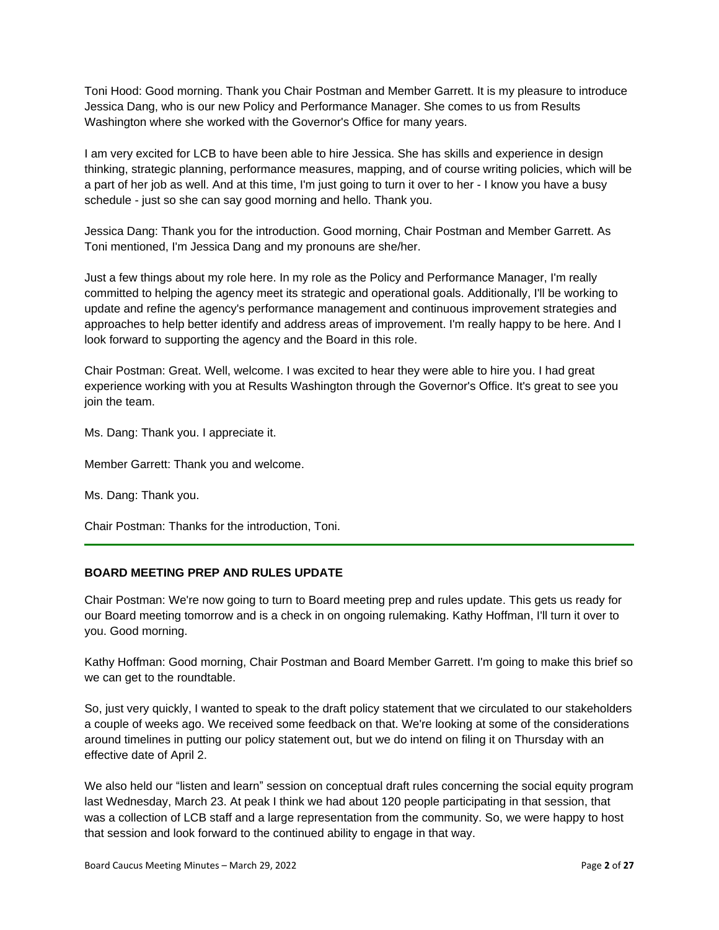Toni Hood: Good morning. Thank you Chair Postman and Member Garrett. It is my pleasure to introduce Jessica Dang, who is our new Policy and Performance Manager. She comes to us from Results Washington where she worked with the Governor's Office for many years.

I am very excited for LCB to have been able to hire Jessica. She has skills and experience in design thinking, strategic planning, performance measures, mapping, and of course writing policies, which will be a part of her job as well. And at this time, I'm just going to turn it over to her - I know you have a busy schedule - just so she can say good morning and hello. Thank you.

Jessica Dang: Thank you for the introduction. Good morning, Chair Postman and Member Garrett. As Toni mentioned, I'm Jessica Dang and my pronouns are she/her.

Just a few things about my role here. In my role as the Policy and Performance Manager, I'm really committed to helping the agency meet its strategic and operational goals. Additionally, I'll be working to update and refine the agency's performance management and continuous improvement strategies and approaches to help better identify and address areas of improvement. I'm really happy to be here. And I look forward to supporting the agency and the Board in this role.

Chair Postman: Great. Well, welcome. I was excited to hear they were able to hire you. I had great experience working with you at Results Washington through the Governor's Office. It's great to see you join the team.

Ms. Dang: Thank you. I appreciate it.

Member Garrett: Thank you and welcome.

Ms. Dang: Thank you.

Chair Postman: Thanks for the introduction, Toni.

### **BOARD MEETING PREP AND RULES UPDATE**

Chair Postman: We're now going to turn to Board meeting prep and rules update. This gets us ready for our Board meeting tomorrow and is a check in on ongoing rulemaking. Kathy Hoffman, I'll turn it over to you. Good morning.

Kathy Hoffman: Good morning, Chair Postman and Board Member Garrett. I'm going to make this brief so we can get to the roundtable.

So, just very quickly, I wanted to speak to the draft policy statement that we circulated to our stakeholders a couple of weeks ago. We received some feedback on that. We're looking at some of the considerations around timelines in putting our policy statement out, but we do intend on filing it on Thursday with an effective date of April 2.

We also held our "listen and learn" session on conceptual draft rules concerning the social equity program last Wednesday, March 23. At peak I think we had about 120 people participating in that session, that was a collection of LCB staff and a large representation from the community. So, we were happy to host that session and look forward to the continued ability to engage in that way.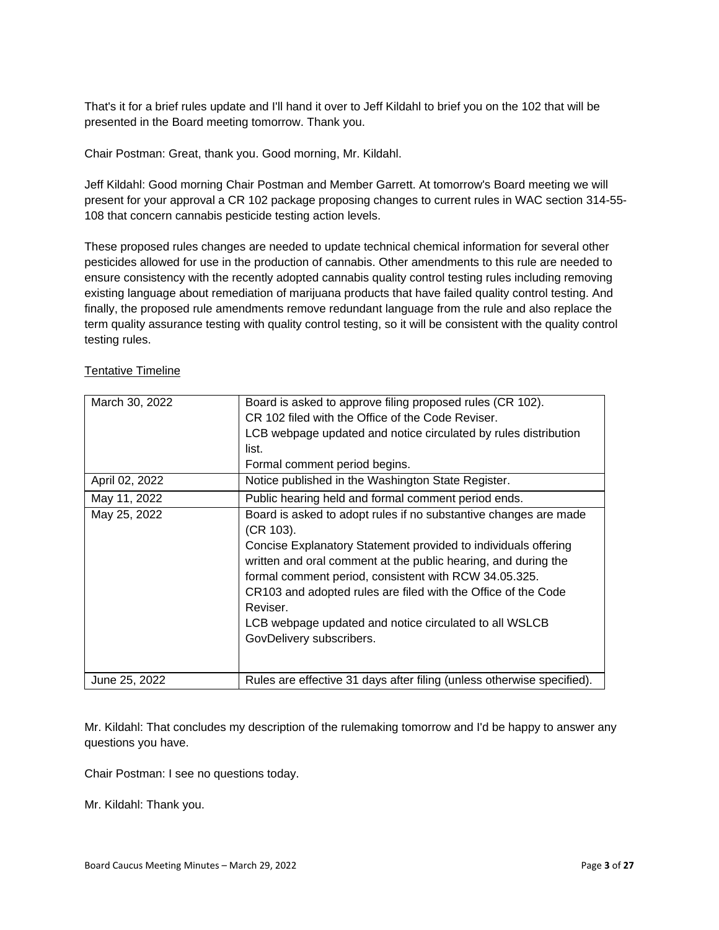That's it for a brief rules update and I'll hand it over to Jeff Kildahl to brief you on the 102 that will be presented in the Board meeting tomorrow. Thank you.

Chair Postman: Great, thank you. Good morning, Mr. Kildahl.

Jeff Kildahl: Good morning Chair Postman and Member Garrett. At tomorrow's Board meeting we will present for your approval a CR 102 package proposing changes to current rules in WAC section 314-55- 108 that concern cannabis pesticide testing action levels.

These proposed rules changes are needed to update technical chemical information for several other pesticides allowed for use in the production of cannabis. Other amendments to this rule are needed to ensure consistency with the recently adopted cannabis quality control testing rules including removing existing language about remediation of marijuana products that have failed quality control testing. And finally, the proposed rule amendments remove redundant language from the rule and also replace the term quality assurance testing with quality control testing, so it will be consistent with the quality control testing rules.

| March 30, 2022 | Board is asked to approve filing proposed rules (CR 102).<br>CR 102 filed with the Office of the Code Reviser.<br>LCB webpage updated and notice circulated by rules distribution<br>list.<br>Formal comment period begins.                                                                                                                                                                                                                   |
|----------------|-----------------------------------------------------------------------------------------------------------------------------------------------------------------------------------------------------------------------------------------------------------------------------------------------------------------------------------------------------------------------------------------------------------------------------------------------|
| April 02, 2022 | Notice published in the Washington State Register.                                                                                                                                                                                                                                                                                                                                                                                            |
| May 11, 2022   | Public hearing held and formal comment period ends.                                                                                                                                                                                                                                                                                                                                                                                           |
| May 25, 2022   | Board is asked to adopt rules if no substantive changes are made<br>(CR 103).<br>Concise Explanatory Statement provided to individuals offering<br>written and oral comment at the public hearing, and during the<br>formal comment period, consistent with RCW 34.05.325.<br>CR103 and adopted rules are filed with the Office of the Code<br>Reviser.<br>LCB webpage updated and notice circulated to all WSLCB<br>GovDelivery subscribers. |
| June 25, 2022  | Rules are effective 31 days after filing (unless otherwise specified).                                                                                                                                                                                                                                                                                                                                                                        |

Tentative Timeline

Mr. Kildahl: That concludes my description of the rulemaking tomorrow and I'd be happy to answer any questions you have.

Chair Postman: I see no questions today.

Mr. Kildahl: Thank you.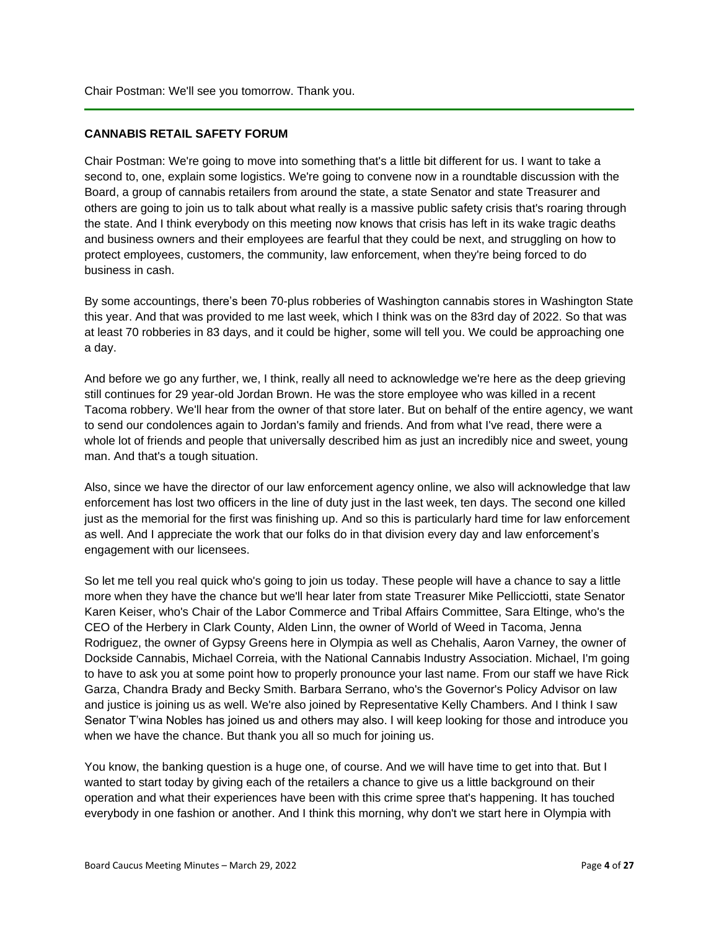#### **CANNABIS RETAIL SAFETY FORUM**

Chair Postman: We're going to move into something that's a little bit different for us. I want to take a second to, one, explain some logistics. We're going to convene now in a roundtable discussion with the Board, a group of cannabis retailers from around the state, a state Senator and state Treasurer and others are going to join us to talk about what really is a massive public safety crisis that's roaring through the state. And I think everybody on this meeting now knows that crisis has left in its wake tragic deaths and business owners and their employees are fearful that they could be next, and struggling on how to protect employees, customers, the community, law enforcement, when they're being forced to do business in cash.

By some accountings, there's been 70-plus robberies of Washington cannabis stores in Washington State this year. And that was provided to me last week, which I think was on the 83rd day of 2022. So that was at least 70 robberies in 83 days, and it could be higher, some will tell you. We could be approaching one a day.

And before we go any further, we, I think, really all need to acknowledge we're here as the deep grieving still continues for 29 year-old Jordan Brown. He was the store employee who was killed in a recent Tacoma robbery. We'll hear from the owner of that store later. But on behalf of the entire agency, we want to send our condolences again to Jordan's family and friends. And from what I've read, there were a whole lot of friends and people that universally described him as just an incredibly nice and sweet, young man. And that's a tough situation.

Also, since we have the director of our law enforcement agency online, we also will acknowledge that law enforcement has lost two officers in the line of duty just in the last week, ten days. The second one killed just as the memorial for the first was finishing up. And so this is particularly hard time for law enforcement as well. And I appreciate the work that our folks do in that division every day and law enforcement's engagement with our licensees.

So let me tell you real quick who's going to join us today. These people will have a chance to say a little more when they have the chance but we'll hear later from state Treasurer Mike Pellicciotti, state Senator Karen Keiser, who's Chair of the Labor Commerce and Tribal Affairs Committee, Sara Eltinge, who's the CEO of the Herbery in Clark County, Alden Linn, the owner of World of Weed in Tacoma, Jenna Rodriguez, the owner of Gypsy Greens here in Olympia as well as Chehalis, Aaron Varney, the owner of Dockside Cannabis, Michael Correia, with the National Cannabis Industry Association. Michael, I'm going to have to ask you at some point how to properly pronounce your last name. From our staff we have Rick Garza, Chandra Brady and Becky Smith. Barbara Serrano, who's the Governor's Policy Advisor on law and justice is joining us as well. We're also joined by Representative Kelly Chambers. And I think I saw Senator T'wina Nobles has joined us and others may also. I will keep looking for those and introduce you when we have the chance. But thank you all so much for joining us.

You know, the banking question is a huge one, of course. And we will have time to get into that. But I wanted to start today by giving each of the retailers a chance to give us a little background on their operation and what their experiences have been with this crime spree that's happening. It has touched everybody in one fashion or another. And I think this morning, why don't we start here in Olympia with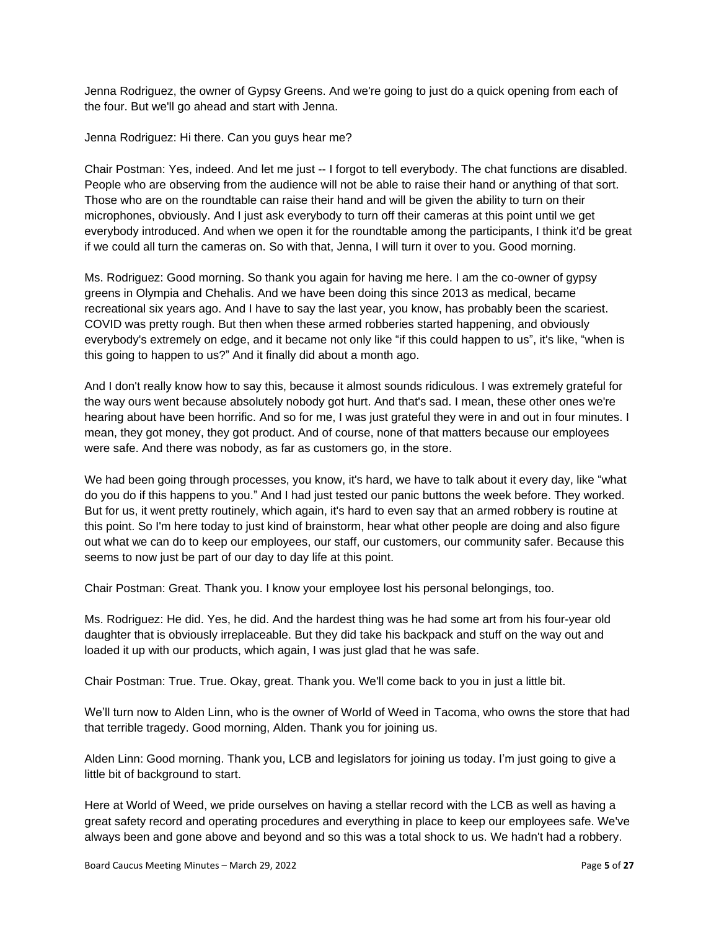Jenna Rodriguez, the owner of Gypsy Greens. And we're going to just do a quick opening from each of the four. But we'll go ahead and start with Jenna.

Jenna Rodriguez: Hi there. Can you guys hear me?

Chair Postman: Yes, indeed. And let me just -- I forgot to tell everybody. The chat functions are disabled. People who are observing from the audience will not be able to raise their hand or anything of that sort. Those who are on the roundtable can raise their hand and will be given the ability to turn on their microphones, obviously. And I just ask everybody to turn off their cameras at this point until we get everybody introduced. And when we open it for the roundtable among the participants, I think it'd be great if we could all turn the cameras on. So with that, Jenna, I will turn it over to you. Good morning.

Ms. Rodriguez: Good morning. So thank you again for having me here. I am the co-owner of gypsy greens in Olympia and Chehalis. And we have been doing this since 2013 as medical, became recreational six years ago. And I have to say the last year, you know, has probably been the scariest. COVID was pretty rough. But then when these armed robberies started happening, and obviously everybody's extremely on edge, and it became not only like "if this could happen to us", it's like, "when is this going to happen to us?" And it finally did about a month ago.

And I don't really know how to say this, because it almost sounds ridiculous. I was extremely grateful for the way ours went because absolutely nobody got hurt. And that's sad. I mean, these other ones we're hearing about have been horrific. And so for me, I was just grateful they were in and out in four minutes. I mean, they got money, they got product. And of course, none of that matters because our employees were safe. And there was nobody, as far as customers go, in the store.

We had been going through processes, you know, it's hard, we have to talk about it every day, like "what do you do if this happens to you." And I had just tested our panic buttons the week before. They worked. But for us, it went pretty routinely, which again, it's hard to even say that an armed robbery is routine at this point. So I'm here today to just kind of brainstorm, hear what other people are doing and also figure out what we can do to keep our employees, our staff, our customers, our community safer. Because this seems to now just be part of our day to day life at this point.

Chair Postman: Great. Thank you. I know your employee lost his personal belongings, too.

Ms. Rodriguez: He did. Yes, he did. And the hardest thing was he had some art from his four-year old daughter that is obviously irreplaceable. But they did take his backpack and stuff on the way out and loaded it up with our products, which again, I was just glad that he was safe.

Chair Postman: True. True. Okay, great. Thank you. We'll come back to you in just a little bit.

We'll turn now to Alden Linn, who is the owner of World of Weed in Tacoma, who owns the store that had that terrible tragedy. Good morning, Alden. Thank you for joining us.

Alden Linn: Good morning. Thank you, LCB and legislators for joining us today. I'm just going to give a little bit of background to start.

Here at World of Weed, we pride ourselves on having a stellar record with the LCB as well as having a great safety record and operating procedures and everything in place to keep our employees safe. We've always been and gone above and beyond and so this was a total shock to us. We hadn't had a robbery.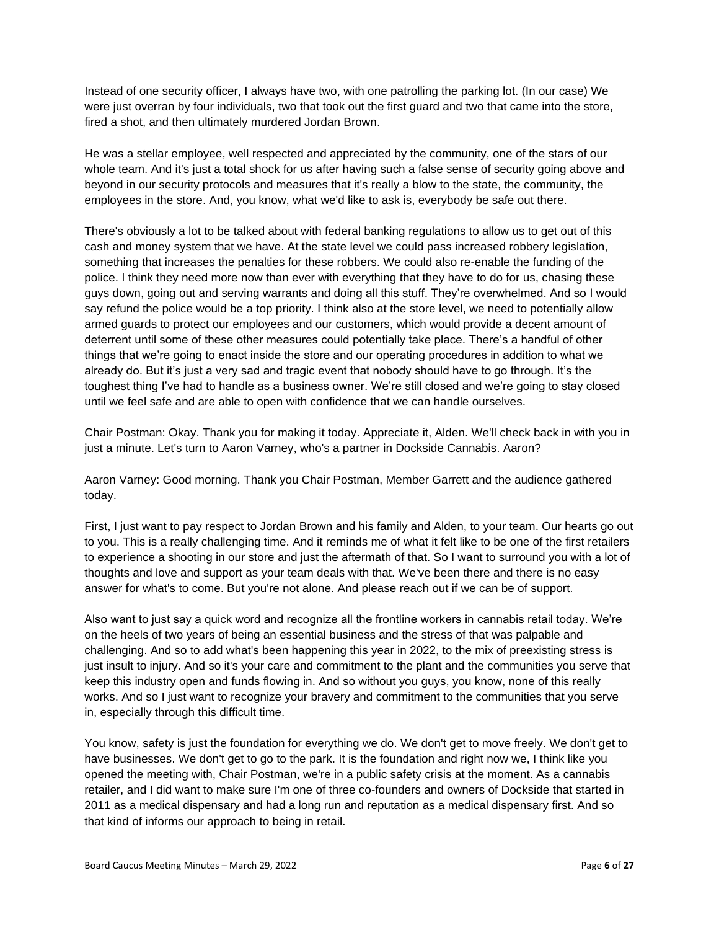Instead of one security officer, I always have two, with one patrolling the parking lot. (In our case) We were just overran by four individuals, two that took out the first guard and two that came into the store, fired a shot, and then ultimately murdered Jordan Brown.

He was a stellar employee, well respected and appreciated by the community, one of the stars of our whole team. And it's just a total shock for us after having such a false sense of security going above and beyond in our security protocols and measures that it's really a blow to the state, the community, the employees in the store. And, you know, what we'd like to ask is, everybody be safe out there.

There's obviously a lot to be talked about with federal banking regulations to allow us to get out of this cash and money system that we have. At the state level we could pass increased robbery legislation, something that increases the penalties for these robbers. We could also re-enable the funding of the police. I think they need more now than ever with everything that they have to do for us, chasing these guys down, going out and serving warrants and doing all this stuff. They're overwhelmed. And so I would say refund the police would be a top priority. I think also at the store level, we need to potentially allow armed guards to protect our employees and our customers, which would provide a decent amount of deterrent until some of these other measures could potentially take place. There's a handful of other things that we're going to enact inside the store and our operating procedures in addition to what we already do. But it's just a very sad and tragic event that nobody should have to go through. It's the toughest thing I've had to handle as a business owner. We're still closed and we're going to stay closed until we feel safe and are able to open with confidence that we can handle ourselves.

Chair Postman: Okay. Thank you for making it today. Appreciate it, Alden. We'll check back in with you in just a minute. Let's turn to Aaron Varney, who's a partner in Dockside Cannabis. Aaron?

Aaron Varney: Good morning. Thank you Chair Postman, Member Garrett and the audience gathered today.

First, I just want to pay respect to Jordan Brown and his family and Alden, to your team. Our hearts go out to you. This is a really challenging time. And it reminds me of what it felt like to be one of the first retailers to experience a shooting in our store and just the aftermath of that. So I want to surround you with a lot of thoughts and love and support as your team deals with that. We've been there and there is no easy answer for what's to come. But you're not alone. And please reach out if we can be of support.

Also want to just say a quick word and recognize all the frontline workers in cannabis retail today. We're on the heels of two years of being an essential business and the stress of that was palpable and challenging. And so to add what's been happening this year in 2022, to the mix of preexisting stress is just insult to injury. And so it's your care and commitment to the plant and the communities you serve that keep this industry open and funds flowing in. And so without you guys, you know, none of this really works. And so I just want to recognize your bravery and commitment to the communities that you serve in, especially through this difficult time.

You know, safety is just the foundation for everything we do. We don't get to move freely. We don't get to have businesses. We don't get to go to the park. It is the foundation and right now we, I think like you opened the meeting with, Chair Postman, we're in a public safety crisis at the moment. As a cannabis retailer, and I did want to make sure I'm one of three co-founders and owners of Dockside that started in 2011 as a medical dispensary and had a long run and reputation as a medical dispensary first. And so that kind of informs our approach to being in retail.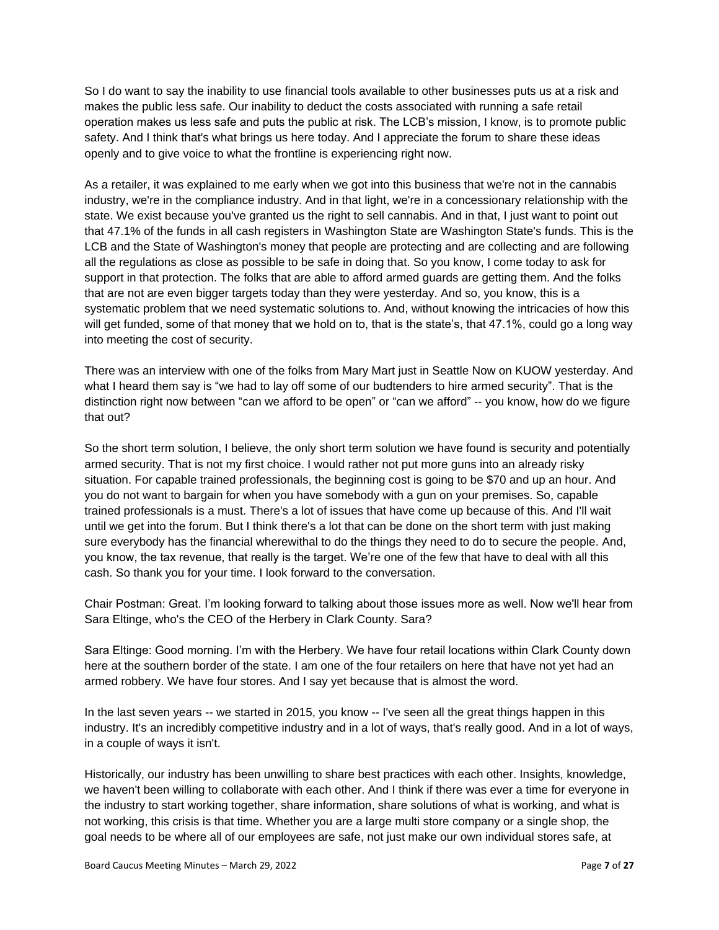So I do want to say the inability to use financial tools available to other businesses puts us at a risk and makes the public less safe. Our inability to deduct the costs associated with running a safe retail operation makes us less safe and puts the public at risk. The LCB's mission, I know, is to promote public safety. And I think that's what brings us here today. And I appreciate the forum to share these ideas openly and to give voice to what the frontline is experiencing right now.

As a retailer, it was explained to me early when we got into this business that we're not in the cannabis industry, we're in the compliance industry. And in that light, we're in a concessionary relationship with the state. We exist because you've granted us the right to sell cannabis. And in that, I just want to point out that 47.1% of the funds in all cash registers in Washington State are Washington State's funds. This is the LCB and the State of Washington's money that people are protecting and are collecting and are following all the regulations as close as possible to be safe in doing that. So you know, I come today to ask for support in that protection. The folks that are able to afford armed guards are getting them. And the folks that are not are even bigger targets today than they were yesterday. And so, you know, this is a systematic problem that we need systematic solutions to. And, without knowing the intricacies of how this will get funded, some of that money that we hold on to, that is the state's, that 47.1%, could go a long way into meeting the cost of security.

There was an interview with one of the folks from Mary Mart just in Seattle Now on KUOW yesterday. And what I heard them say is "we had to lay off some of our budtenders to hire armed security". That is the distinction right now between "can we afford to be open" or "can we afford" -- you know, how do we figure that out?

So the short term solution, I believe, the only short term solution we have found is security and potentially armed security. That is not my first choice. I would rather not put more guns into an already risky situation. For capable trained professionals, the beginning cost is going to be \$70 and up an hour. And you do not want to bargain for when you have somebody with a gun on your premises. So, capable trained professionals is a must. There's a lot of issues that have come up because of this. And I'll wait until we get into the forum. But I think there's a lot that can be done on the short term with just making sure everybody has the financial wherewithal to do the things they need to do to secure the people. And, you know, the tax revenue, that really is the target. We're one of the few that have to deal with all this cash. So thank you for your time. I look forward to the conversation.

Chair Postman: Great. I'm looking forward to talking about those issues more as well. Now we'll hear from Sara Eltinge, who's the CEO of the Herbery in Clark County. Sara?

Sara Eltinge: Good morning. I'm with the Herbery. We have four retail locations within Clark County down here at the southern border of the state. I am one of the four retailers on here that have not yet had an armed robbery. We have four stores. And I say yet because that is almost the word.

In the last seven years -- we started in 2015, you know -- I've seen all the great things happen in this industry. It's an incredibly competitive industry and in a lot of ways, that's really good. And in a lot of ways, in a couple of ways it isn't.

Historically, our industry has been unwilling to share best practices with each other. Insights, knowledge, we haven't been willing to collaborate with each other. And I think if there was ever a time for everyone in the industry to start working together, share information, share solutions of what is working, and what is not working, this crisis is that time. Whether you are a large multi store company or a single shop, the goal needs to be where all of our employees are safe, not just make our own individual stores safe, at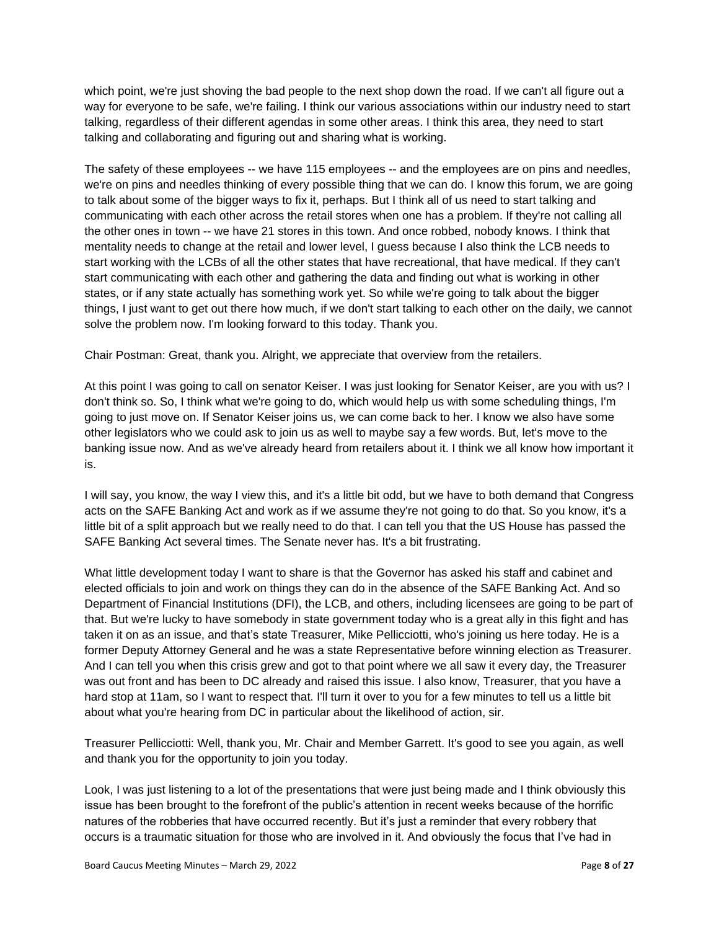which point, we're just shoving the bad people to the next shop down the road. If we can't all figure out a way for everyone to be safe, we're failing. I think our various associations within our industry need to start talking, regardless of their different agendas in some other areas. I think this area, they need to start talking and collaborating and figuring out and sharing what is working.

The safety of these employees -- we have 115 employees -- and the employees are on pins and needles, we're on pins and needles thinking of every possible thing that we can do. I know this forum, we are going to talk about some of the bigger ways to fix it, perhaps. But I think all of us need to start talking and communicating with each other across the retail stores when one has a problem. If they're not calling all the other ones in town -- we have 21 stores in this town. And once robbed, nobody knows. I think that mentality needs to change at the retail and lower level, I guess because I also think the LCB needs to start working with the LCBs of all the other states that have recreational, that have medical. If they can't start communicating with each other and gathering the data and finding out what is working in other states, or if any state actually has something work yet. So while we're going to talk about the bigger things, I just want to get out there how much, if we don't start talking to each other on the daily, we cannot solve the problem now. I'm looking forward to this today. Thank you.

Chair Postman: Great, thank you. Alright, we appreciate that overview from the retailers.

At this point I was going to call on senator Keiser. I was just looking for Senator Keiser, are you with us? I don't think so. So, I think what we're going to do, which would help us with some scheduling things, I'm going to just move on. If Senator Keiser joins us, we can come back to her. I know we also have some other legislators who we could ask to join us as well to maybe say a few words. But, let's move to the banking issue now. And as we've already heard from retailers about it. I think we all know how important it is.

I will say, you know, the way I view this, and it's a little bit odd, but we have to both demand that Congress acts on the SAFE Banking Act and work as if we assume they're not going to do that. So you know, it's a little bit of a split approach but we really need to do that. I can tell you that the US House has passed the SAFE Banking Act several times. The Senate never has. It's a bit frustrating.

What little development today I want to share is that the Governor has asked his staff and cabinet and elected officials to join and work on things they can do in the absence of the SAFE Banking Act. And so Department of Financial Institutions (DFI), the LCB, and others, including licensees are going to be part of that. But we're lucky to have somebody in state government today who is a great ally in this fight and has taken it on as an issue, and that's state Treasurer, Mike Pellicciotti, who's joining us here today. He is a former Deputy Attorney General and he was a state Representative before winning election as Treasurer. And I can tell you when this crisis grew and got to that point where we all saw it every day, the Treasurer was out front and has been to DC already and raised this issue. I also know, Treasurer, that you have a hard stop at 11am, so I want to respect that. I'll turn it over to you for a few minutes to tell us a little bit about what you're hearing from DC in particular about the likelihood of action, sir.

Treasurer Pellicciotti: Well, thank you, Mr. Chair and Member Garrett. It's good to see you again, as well and thank you for the opportunity to join you today.

Look, I was just listening to a lot of the presentations that were just being made and I think obviously this issue has been brought to the forefront of the public's attention in recent weeks because of the horrific natures of the robberies that have occurred recently. But it's just a reminder that every robbery that occurs is a traumatic situation for those who are involved in it. And obviously the focus that I've had in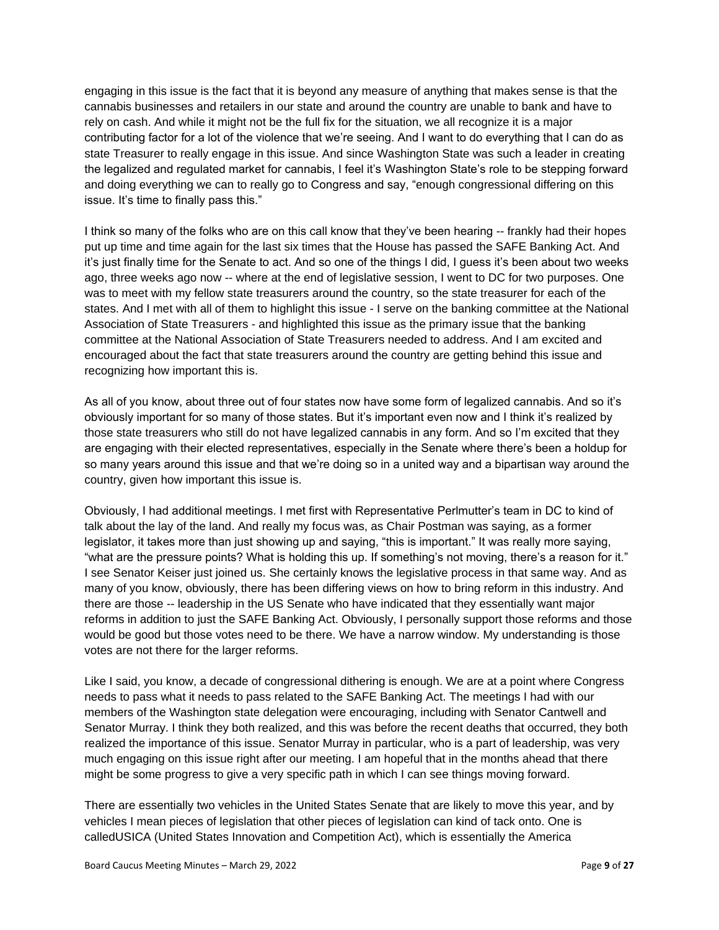engaging in this issue is the fact that it is beyond any measure of anything that makes sense is that the cannabis businesses and retailers in our state and around the country are unable to bank and have to rely on cash. And while it might not be the full fix for the situation, we all recognize it is a major contributing factor for a lot of the violence that we're seeing. And I want to do everything that I can do as state Treasurer to really engage in this issue. And since Washington State was such a leader in creating the legalized and regulated market for cannabis, I feel it's Washington State's role to be stepping forward and doing everything we can to really go to Congress and say, "enough congressional differing on this issue. It's time to finally pass this."

I think so many of the folks who are on this call know that they've been hearing -- frankly had their hopes put up time and time again for the last six times that the House has passed the SAFE Banking Act. And it's just finally time for the Senate to act. And so one of the things I did, I guess it's been about two weeks ago, three weeks ago now -- where at the end of legislative session, I went to DC for two purposes. One was to meet with my fellow state treasurers around the country, so the state treasurer for each of the states. And I met with all of them to highlight this issue - I serve on the banking committee at the National Association of State Treasurers - and highlighted this issue as the primary issue that the banking committee at the National Association of State Treasurers needed to address. And I am excited and encouraged about the fact that state treasurers around the country are getting behind this issue and recognizing how important this is.

As all of you know, about three out of four states now have some form of legalized cannabis. And so it's obviously important for so many of those states. But it's important even now and I think it's realized by those state treasurers who still do not have legalized cannabis in any form. And so I'm excited that they are engaging with their elected representatives, especially in the Senate where there's been a holdup for so many years around this issue and that we're doing so in a united way and a bipartisan way around the country, given how important this issue is.

Obviously, I had additional meetings. I met first with Representative Perlmutter's team in DC to kind of talk about the lay of the land. And really my focus was, as Chair Postman was saying, as a former legislator, it takes more than just showing up and saying, "this is important." It was really more saying, "what are the pressure points? What is holding this up. If something's not moving, there's a reason for it." I see Senator Keiser just joined us. She certainly knows the legislative process in that same way. And as many of you know, obviously, there has been differing views on how to bring reform in this industry. And there are those -- leadership in the US Senate who have indicated that they essentially want major reforms in addition to just the SAFE Banking Act. Obviously, I personally support those reforms and those would be good but those votes need to be there. We have a narrow window. My understanding is those votes are not there for the larger reforms.

Like I said, you know, a decade of congressional dithering is enough. We are at a point where Congress needs to pass what it needs to pass related to the SAFE Banking Act. The meetings I had with our members of the Washington state delegation were encouraging, including with Senator Cantwell and Senator Murray. I think they both realized, and this was before the recent deaths that occurred, they both realized the importance of this issue. Senator Murray in particular, who is a part of leadership, was very much engaging on this issue right after our meeting. I am hopeful that in the months ahead that there might be some progress to give a very specific path in which I can see things moving forward.

There are essentially two vehicles in the United States Senate that are likely to move this year, and by vehicles I mean pieces of legislation that other pieces of legislation can kind of tack onto. One is calledUSICA (United States Innovation and Competition Act), which is essentially the America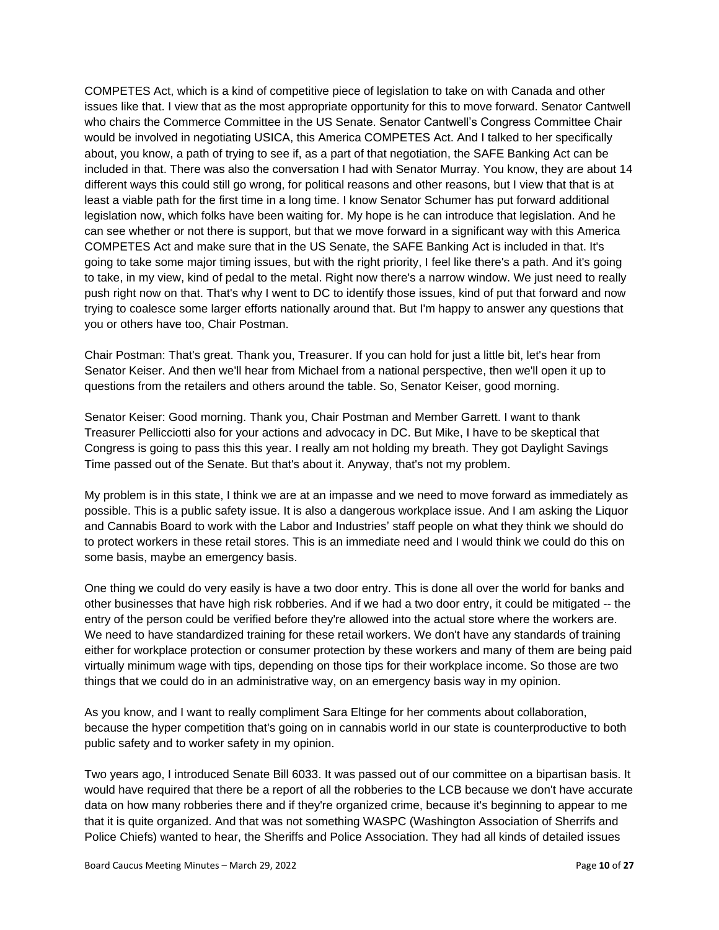COMPETES Act, which is a kind of competitive piece of legislation to take on with Canada and other issues like that. I view that as the most appropriate opportunity for this to move forward. Senator Cantwell who chairs the Commerce Committee in the US Senate. Senator Cantwell's Congress Committee Chair would be involved in negotiating USICA, this America COMPETES Act. And I talked to her specifically about, you know, a path of trying to see if, as a part of that negotiation, the SAFE Banking Act can be included in that. There was also the conversation I had with Senator Murray. You know, they are about 14 different ways this could still go wrong, for political reasons and other reasons, but I view that that is at least a viable path for the first time in a long time. I know Senator Schumer has put forward additional legislation now, which folks have been waiting for. My hope is he can introduce that legislation. And he can see whether or not there is support, but that we move forward in a significant way with this America COMPETES Act and make sure that in the US Senate, the SAFE Banking Act is included in that. It's going to take some major timing issues, but with the right priority, I feel like there's a path. And it's going to take, in my view, kind of pedal to the metal. Right now there's a narrow window. We just need to really push right now on that. That's why I went to DC to identify those issues, kind of put that forward and now trying to coalesce some larger efforts nationally around that. But I'm happy to answer any questions that you or others have too, Chair Postman.

Chair Postman: That's great. Thank you, Treasurer. If you can hold for just a little bit, let's hear from Senator Keiser. And then we'll hear from Michael from a national perspective, then we'll open it up to questions from the retailers and others around the table. So, Senator Keiser, good morning.

Senator Keiser: Good morning. Thank you, Chair Postman and Member Garrett. I want to thank Treasurer Pellicciotti also for your actions and advocacy in DC. But Mike, I have to be skeptical that Congress is going to pass this this year. I really am not holding my breath. They got Daylight Savings Time passed out of the Senate. But that's about it. Anyway, that's not my problem.

My problem is in this state, I think we are at an impasse and we need to move forward as immediately as possible. This is a public safety issue. It is also a dangerous workplace issue. And I am asking the Liquor and Cannabis Board to work with the Labor and Industries' staff people on what they think we should do to protect workers in these retail stores. This is an immediate need and I would think we could do this on some basis, maybe an emergency basis.

One thing we could do very easily is have a two door entry. This is done all over the world for banks and other businesses that have high risk robberies. And if we had a two door entry, it could be mitigated -- the entry of the person could be verified before they're allowed into the actual store where the workers are. We need to have standardized training for these retail workers. We don't have any standards of training either for workplace protection or consumer protection by these workers and many of them are being paid virtually minimum wage with tips, depending on those tips for their workplace income. So those are two things that we could do in an administrative way, on an emergency basis way in my opinion.

As you know, and I want to really compliment Sara Eltinge for her comments about collaboration, because the hyper competition that's going on in cannabis world in our state is counterproductive to both public safety and to worker safety in my opinion.

Two years ago, I introduced Senate Bill 6033. It was passed out of our committee on a bipartisan basis. It would have required that there be a report of all the robberies to the LCB because we don't have accurate data on how many robberies there and if they're organized crime, because it's beginning to appear to me that it is quite organized. And that was not something WASPC (Washington Association of Sherrifs and Police Chiefs) wanted to hear, the Sheriffs and Police Association. They had all kinds of detailed issues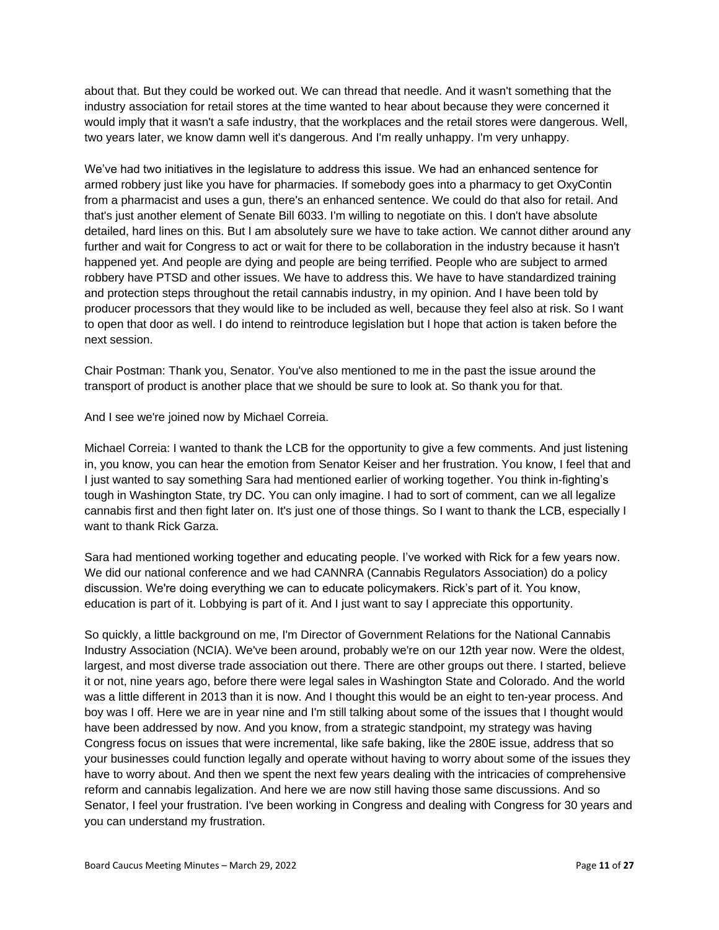about that. But they could be worked out. We can thread that needle. And it wasn't something that the industry association for retail stores at the time wanted to hear about because they were concerned it would imply that it wasn't a safe industry, that the workplaces and the retail stores were dangerous. Well, two years later, we know damn well it's dangerous. And I'm really unhappy. I'm very unhappy.

We've had two initiatives in the legislature to address this issue. We had an enhanced sentence for armed robbery just like you have for pharmacies. If somebody goes into a pharmacy to get OxyContin from a pharmacist and uses a gun, there's an enhanced sentence. We could do that also for retail. And that's just another element of Senate Bill 6033. I'm willing to negotiate on this. I don't have absolute detailed, hard lines on this. But I am absolutely sure we have to take action. We cannot dither around any further and wait for Congress to act or wait for there to be collaboration in the industry because it hasn't happened yet. And people are dying and people are being terrified. People who are subject to armed robbery have PTSD and other issues. We have to address this. We have to have standardized training and protection steps throughout the retail cannabis industry, in my opinion. And I have been told by producer processors that they would like to be included as well, because they feel also at risk. So I want to open that door as well. I do intend to reintroduce legislation but I hope that action is taken before the next session.

Chair Postman: Thank you, Senator. You've also mentioned to me in the past the issue around the transport of product is another place that we should be sure to look at. So thank you for that.

And I see we're joined now by Michael Correia.

Michael Correia: I wanted to thank the LCB for the opportunity to give a few comments. And just listening in, you know, you can hear the emotion from Senator Keiser and her frustration. You know, I feel that and I just wanted to say something Sara had mentioned earlier of working together. You think in-fighting's tough in Washington State, try DC. You can only imagine. I had to sort of comment, can we all legalize cannabis first and then fight later on. It's just one of those things. So I want to thank the LCB, especially I want to thank Rick Garza.

Sara had mentioned working together and educating people. I've worked with Rick for a few years now. We did our national conference and we had CANNRA (Cannabis Regulators Association) do a policy discussion. We're doing everything we can to educate policymakers. Rick's part of it. You know, education is part of it. Lobbying is part of it. And I just want to say I appreciate this opportunity.

So quickly, a little background on me, I'm Director of Government Relations for the National Cannabis Industry Association (NCIA). We've been around, probably we're on our 12th year now. Were the oldest, largest, and most diverse trade association out there. There are other groups out there. I started, believe it or not, nine years ago, before there were legal sales in Washington State and Colorado. And the world was a little different in 2013 than it is now. And I thought this would be an eight to ten-year process. And boy was I off. Here we are in year nine and I'm still talking about some of the issues that I thought would have been addressed by now. And you know, from a strategic standpoint, my strategy was having Congress focus on issues that were incremental, like safe baking, like the 280E issue, address that so your businesses could function legally and operate without having to worry about some of the issues they have to worry about. And then we spent the next few years dealing with the intricacies of comprehensive reform and cannabis legalization. And here we are now still having those same discussions. And so Senator, I feel your frustration. I've been working in Congress and dealing with Congress for 30 years and you can understand my frustration.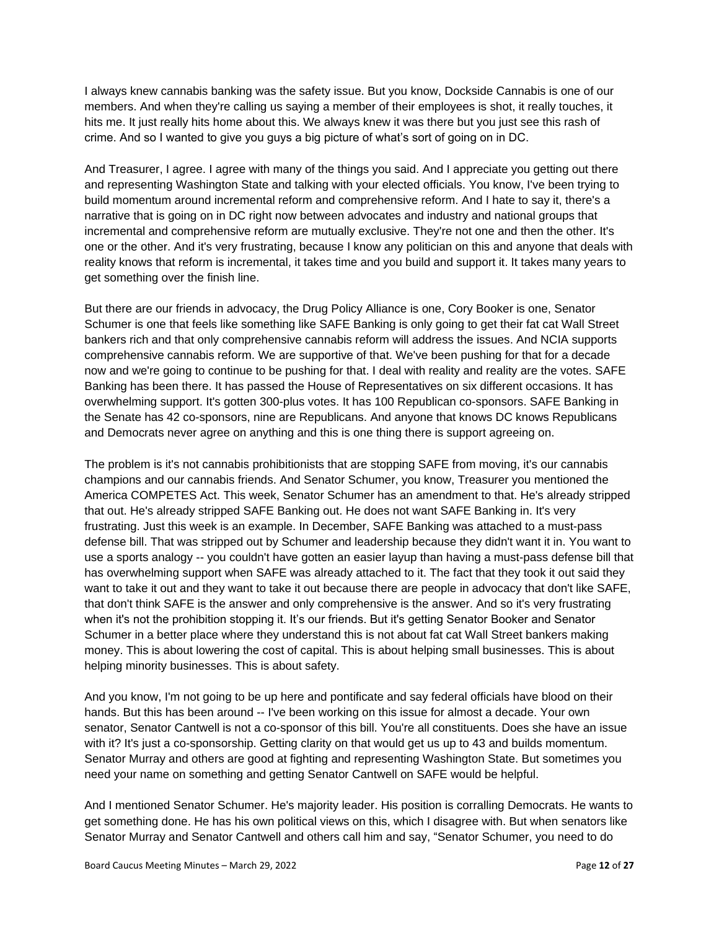I always knew cannabis banking was the safety issue. But you know, Dockside Cannabis is one of our members. And when they're calling us saying a member of their employees is shot, it really touches, it hits me. It just really hits home about this. We always knew it was there but you just see this rash of crime. And so I wanted to give you guys a big picture of what's sort of going on in DC.

And Treasurer, I agree. I agree with many of the things you said. And I appreciate you getting out there and representing Washington State and talking with your elected officials. You know, I've been trying to build momentum around incremental reform and comprehensive reform. And I hate to say it, there's a narrative that is going on in DC right now between advocates and industry and national groups that incremental and comprehensive reform are mutually exclusive. They're not one and then the other. It's one or the other. And it's very frustrating, because I know any politician on this and anyone that deals with reality knows that reform is incremental, it takes time and you build and support it. It takes many years to get something over the finish line.

But there are our friends in advocacy, the Drug Policy Alliance is one, Cory Booker is one, Senator Schumer is one that feels like something like SAFE Banking is only going to get their fat cat Wall Street bankers rich and that only comprehensive cannabis reform will address the issues. And NCIA supports comprehensive cannabis reform. We are supportive of that. We've been pushing for that for a decade now and we're going to continue to be pushing for that. I deal with reality and reality are the votes. SAFE Banking has been there. It has passed the House of Representatives on six different occasions. It has overwhelming support. It's gotten 300-plus votes. It has 100 Republican co-sponsors. SAFE Banking in the Senate has 42 co-sponsors, nine are Republicans. And anyone that knows DC knows Republicans and Democrats never agree on anything and this is one thing there is support agreeing on.

The problem is it's not cannabis prohibitionists that are stopping SAFE from moving, it's our cannabis champions and our cannabis friends. And Senator Schumer, you know, Treasurer you mentioned the America COMPETES Act. This week, Senator Schumer has an amendment to that. He's already stripped that out. He's already stripped SAFE Banking out. He does not want SAFE Banking in. It's very frustrating. Just this week is an example. In December, SAFE Banking was attached to a must-pass defense bill. That was stripped out by Schumer and leadership because they didn't want it in. You want to use a sports analogy -- you couldn't have gotten an easier layup than having a must-pass defense bill that has overwhelming support when SAFE was already attached to it. The fact that they took it out said they want to take it out and they want to take it out because there are people in advocacy that don't like SAFE, that don't think SAFE is the answer and only comprehensive is the answer. And so it's very frustrating when it's not the prohibition stopping it. It's our friends. But it's getting Senator Booker and Senator Schumer in a better place where they understand this is not about fat cat Wall Street bankers making money. This is about lowering the cost of capital. This is about helping small businesses. This is about helping minority businesses. This is about safety.

And you know, I'm not going to be up here and pontificate and say federal officials have blood on their hands. But this has been around -- I've been working on this issue for almost a decade. Your own senator, Senator Cantwell is not a co-sponsor of this bill. You're all constituents. Does she have an issue with it? It's just a co-sponsorship. Getting clarity on that would get us up to 43 and builds momentum. Senator Murray and others are good at fighting and representing Washington State. But sometimes you need your name on something and getting Senator Cantwell on SAFE would be helpful.

And I mentioned Senator Schumer. He's majority leader. His position is corralling Democrats. He wants to get something done. He has his own political views on this, which I disagree with. But when senators like Senator Murray and Senator Cantwell and others call him and say, "Senator Schumer, you need to do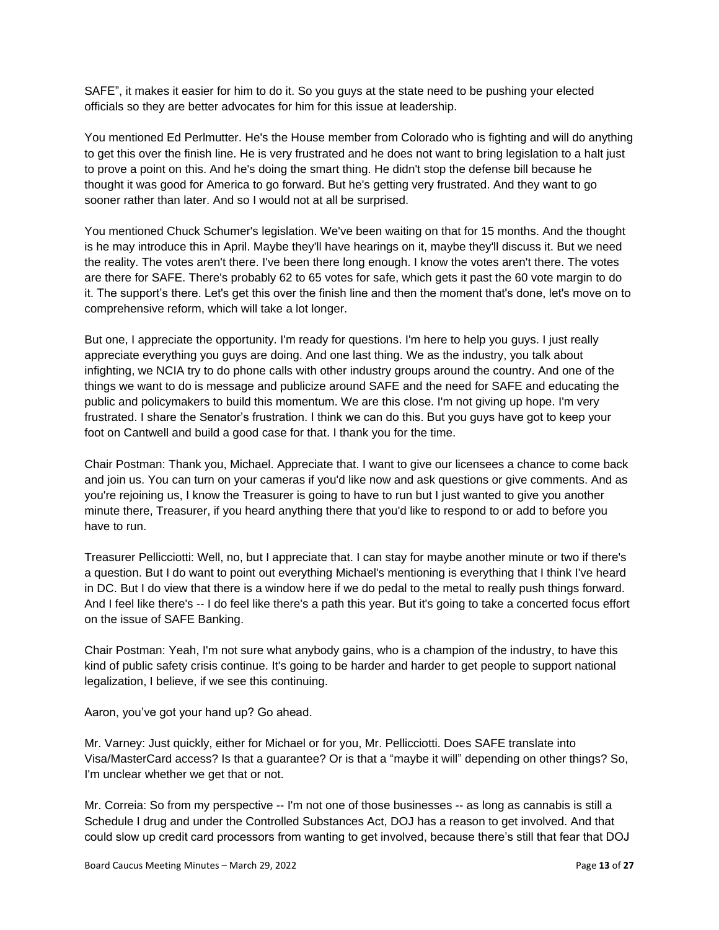SAFE", it makes it easier for him to do it. So you guys at the state need to be pushing your elected officials so they are better advocates for him for this issue at leadership.

You mentioned Ed Perlmutter. He's the House member from Colorado who is fighting and will do anything to get this over the finish line. He is very frustrated and he does not want to bring legislation to a halt just to prove a point on this. And he's doing the smart thing. He didn't stop the defense bill because he thought it was good for America to go forward. But he's getting very frustrated. And they want to go sooner rather than later. And so I would not at all be surprised.

You mentioned Chuck Schumer's legislation. We've been waiting on that for 15 months. And the thought is he may introduce this in April. Maybe they'll have hearings on it, maybe they'll discuss it. But we need the reality. The votes aren't there. I've been there long enough. I know the votes aren't there. The votes are there for SAFE. There's probably 62 to 65 votes for safe, which gets it past the 60 vote margin to do it. The support's there. Let's get this over the finish line and then the moment that's done, let's move on to comprehensive reform, which will take a lot longer.

But one, I appreciate the opportunity. I'm ready for questions. I'm here to help you guys. I just really appreciate everything you guys are doing. And one last thing. We as the industry, you talk about infighting, we NCIA try to do phone calls with other industry groups around the country. And one of the things we want to do is message and publicize around SAFE and the need for SAFE and educating the public and policymakers to build this momentum. We are this close. I'm not giving up hope. I'm very frustrated. I share the Senator's frustration. I think we can do this. But you guys have got to keep your foot on Cantwell and build a good case for that. I thank you for the time.

Chair Postman: Thank you, Michael. Appreciate that. I want to give our licensees a chance to come back and join us. You can turn on your cameras if you'd like now and ask questions or give comments. And as you're rejoining us, I know the Treasurer is going to have to run but I just wanted to give you another minute there, Treasurer, if you heard anything there that you'd like to respond to or add to before you have to run.

Treasurer Pellicciotti: Well, no, but I appreciate that. I can stay for maybe another minute or two if there's a question. But I do want to point out everything Michael's mentioning is everything that I think I've heard in DC. But I do view that there is a window here if we do pedal to the metal to really push things forward. And I feel like there's -- I do feel like there's a path this year. But it's going to take a concerted focus effort on the issue of SAFE Banking.

Chair Postman: Yeah, I'm not sure what anybody gains, who is a champion of the industry, to have this kind of public safety crisis continue. It's going to be harder and harder to get people to support national legalization, I believe, if we see this continuing.

Aaron, you've got your hand up? Go ahead.

Mr. Varney: Just quickly, either for Michael or for you, Mr. Pellicciotti. Does SAFE translate into Visa/MasterCard access? Is that a guarantee? Or is that a "maybe it will" depending on other things? So, I'm unclear whether we get that or not.

Mr. Correia: So from my perspective -- I'm not one of those businesses -- as long as cannabis is still a Schedule I drug and under the Controlled Substances Act, DOJ has a reason to get involved. And that could slow up credit card processors from wanting to get involved, because there's still that fear that DOJ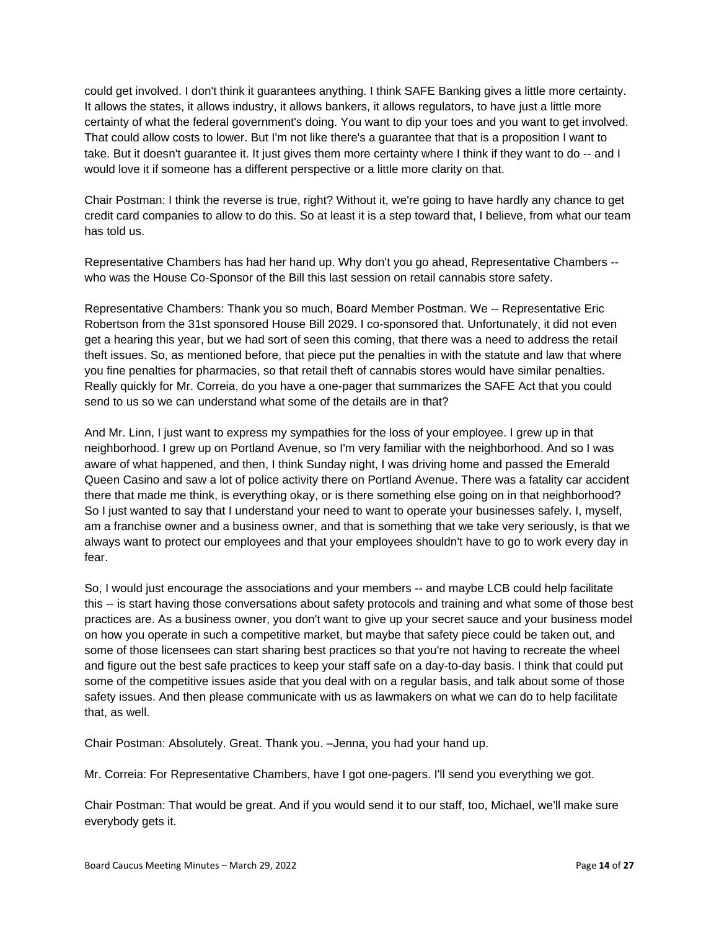could get involved. I don't think it guarantees anything. I think SAFE Banking gives a little more certainty. It allows the states, it allows industry, it allows bankers, it allows regulators, to have just a little more certainty of what the federal government's doing. You want to dip your toes and you want to get involved. That could allow costs to lower. But I'm not like there's a guarantee that that is a proposition I want to take. But it doesn't guarantee it. It just gives them more certainty where I think if they want to do -- and I would love it if someone has a different perspective or a little more clarity on that.

Chair Postman: I think the reverse is true, right? Without it, we're going to have hardly any chance to get credit card companies to allow to do this. So at least it is a step toward that, I believe, from what our team has told us.

Representative Chambers has had her hand up. Why don't you go ahead, Representative Chambers - who was the House Co-Sponsor of the Bill this last session on retail cannabis store safety.

Representative Chambers: Thank you so much, Board Member Postman. We -- Representative Eric Robertson from the 31st sponsored House Bill 2029. I co-sponsored that. Unfortunately, it did not even get a hearing this year, but we had sort of seen this coming, that there was a need to address the retail theft issues. So, as mentioned before, that piece put the penalties in with the statute and law that where you fine penalties for pharmacies, so that retail theft of cannabis stores would have similar penalties. Really quickly for Mr. Correia, do you have a one-pager that summarizes the SAFE Act that you could send to us so we can understand what some of the details are in that?

And Mr. Linn, I just want to express my sympathies for the loss of your employee. I grew up in that neighborhood. I grew up on Portland Avenue, so I'm very familiar with the neighborhood. And so I was aware of what happened, and then, I think Sunday night, I was driving home and passed the Emerald Queen Casino and saw a lot of police activity there on Portland Avenue. There was a fatality car accident there that made me think, is everything okay, or is there something else going on in that neighborhood? So I just wanted to say that I understand your need to want to operate your businesses safely. I, myself, am a franchise owner and a business owner, and that is something that we take very seriously, is that we always want to protect our employees and that your employees shouldn't have to go to work every day in fear.

So, I would just encourage the associations and your members -- and maybe LCB could help facilitate this -- is start having those conversations about safety protocols and training and what some of those best practices are. As a business owner, you don't want to give up your secret sauce and your business model on how you operate in such a competitive market, but maybe that safety piece could be taken out, and some of those licensees can start sharing best practices so that you're not having to recreate the wheel and figure out the best safe practices to keep your staff safe on a day-to-day basis. I think that could put some of the competitive issues aside that you deal with on a regular basis, and talk about some of those safety issues. And then please communicate with us as lawmakers on what we can do to help facilitate that, as well.

Chair Postman: Absolutely. Great. Thank you. –Jenna, you had your hand up.

Mr. Correia: For Representative Chambers, have I got one-pagers. I'll send you everything we got.

Chair Postman: That would be great. And if you would send it to our staff, too, Michael, we'll make sure everybody gets it.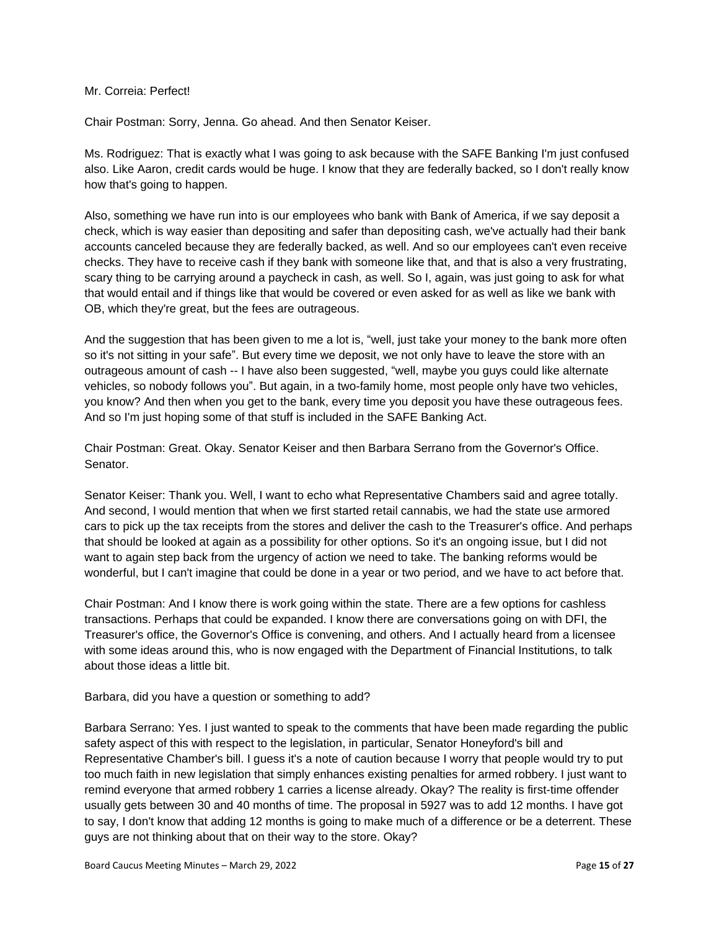#### Mr. Correia: Perfect!

Chair Postman: Sorry, Jenna. Go ahead. And then Senator Keiser.

Ms. Rodriguez: That is exactly what I was going to ask because with the SAFE Banking I'm just confused also. Like Aaron, credit cards would be huge. I know that they are federally backed, so I don't really know how that's going to happen.

Also, something we have run into is our employees who bank with Bank of America, if we say deposit a check, which is way easier than depositing and safer than depositing cash, we've actually had their bank accounts canceled because they are federally backed, as well. And so our employees can't even receive checks. They have to receive cash if they bank with someone like that, and that is also a very frustrating, scary thing to be carrying around a paycheck in cash, as well. So I, again, was just going to ask for what that would entail and if things like that would be covered or even asked for as well as like we bank with OB, which they're great, but the fees are outrageous.

And the suggestion that has been given to me a lot is, "well, just take your money to the bank more often so it's not sitting in your safe". But every time we deposit, we not only have to leave the store with an outrageous amount of cash -- I have also been suggested, "well, maybe you guys could like alternate vehicles, so nobody follows you". But again, in a two-family home, most people only have two vehicles, you know? And then when you get to the bank, every time you deposit you have these outrageous fees. And so I'm just hoping some of that stuff is included in the SAFE Banking Act.

Chair Postman: Great. Okay. Senator Keiser and then Barbara Serrano from the Governor's Office. Senator.

Senator Keiser: Thank you. Well, I want to echo what Representative Chambers said and agree totally. And second, I would mention that when we first started retail cannabis, we had the state use armored cars to pick up the tax receipts from the stores and deliver the cash to the Treasurer's office. And perhaps that should be looked at again as a possibility for other options. So it's an ongoing issue, but I did not want to again step back from the urgency of action we need to take. The banking reforms would be wonderful, but I can't imagine that could be done in a year or two period, and we have to act before that.

Chair Postman: And I know there is work going within the state. There are a few options for cashless transactions. Perhaps that could be expanded. I know there are conversations going on with DFI, the Treasurer's office, the Governor's Office is convening, and others. And I actually heard from a licensee with some ideas around this, who is now engaged with the Department of Financial Institutions, to talk about those ideas a little bit.

Barbara, did you have a question or something to add?

Barbara Serrano: Yes. I just wanted to speak to the comments that have been made regarding the public safety aspect of this with respect to the legislation, in particular, Senator Honeyford's bill and Representative Chamber's bill. I guess it's a note of caution because I worry that people would try to put too much faith in new legislation that simply enhances existing penalties for armed robbery. I just want to remind everyone that armed robbery 1 carries a license already. Okay? The reality is first-time offender usually gets between 30 and 40 months of time. The proposal in 5927 was to add 12 months. I have got to say, I don't know that adding 12 months is going to make much of a difference or be a deterrent. These guys are not thinking about that on their way to the store. Okay?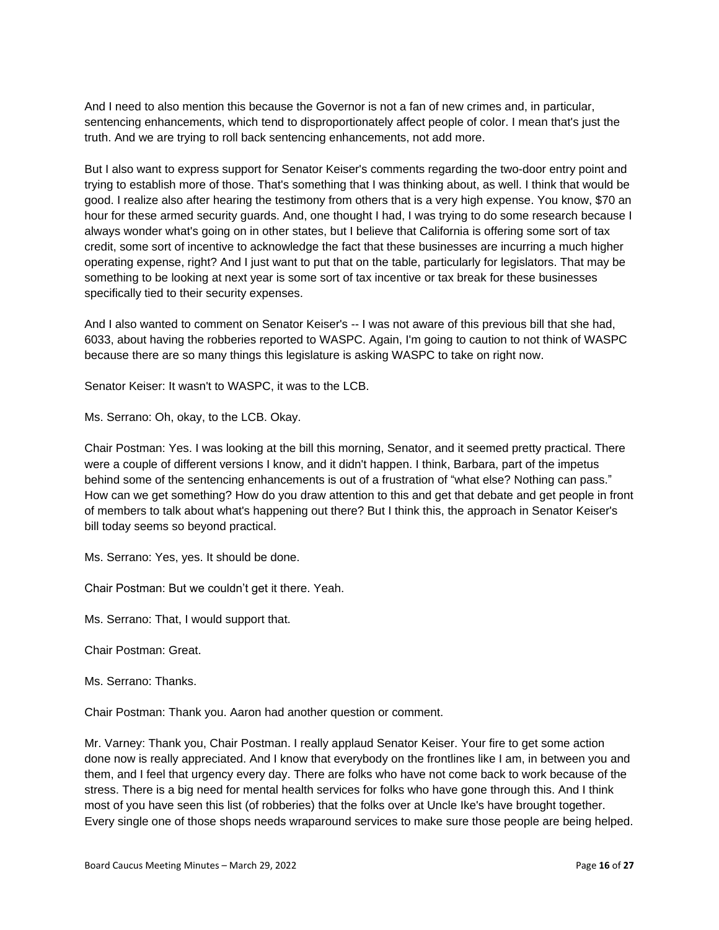And I need to also mention this because the Governor is not a fan of new crimes and, in particular, sentencing enhancements, which tend to disproportionately affect people of color. I mean that's just the truth. And we are trying to roll back sentencing enhancements, not add more.

But I also want to express support for Senator Keiser's comments regarding the two-door entry point and trying to establish more of those. That's something that I was thinking about, as well. I think that would be good. I realize also after hearing the testimony from others that is a very high expense. You know, \$70 an hour for these armed security guards. And, one thought I had, I was trying to do some research because I always wonder what's going on in other states, but I believe that California is offering some sort of tax credit, some sort of incentive to acknowledge the fact that these businesses are incurring a much higher operating expense, right? And I just want to put that on the table, particularly for legislators. That may be something to be looking at next year is some sort of tax incentive or tax break for these businesses specifically tied to their security expenses.

And I also wanted to comment on Senator Keiser's -- I was not aware of this previous bill that she had, 6033, about having the robberies reported to WASPC. Again, I'm going to caution to not think of WASPC because there are so many things this legislature is asking WASPC to take on right now.

Senator Keiser: It wasn't to WASPC, it was to the LCB.

Ms. Serrano: Oh, okay, to the LCB. Okay.

Chair Postman: Yes. I was looking at the bill this morning, Senator, and it seemed pretty practical. There were a couple of different versions I know, and it didn't happen. I think, Barbara, part of the impetus behind some of the sentencing enhancements is out of a frustration of "what else? Nothing can pass." How can we get something? How do you draw attention to this and get that debate and get people in front of members to talk about what's happening out there? But I think this, the approach in Senator Keiser's bill today seems so beyond practical.

Ms. Serrano: Yes, yes. It should be done.

Chair Postman: But we couldn't get it there. Yeah.

Ms. Serrano: That, I would support that.

Chair Postman: Great.

Ms. Serrano: Thanks.

Chair Postman: Thank you. Aaron had another question or comment.

Mr. Varney: Thank you, Chair Postman. I really applaud Senator Keiser. Your fire to get some action done now is really appreciated. And I know that everybody on the frontlines like I am, in between you and them, and I feel that urgency every day. There are folks who have not come back to work because of the stress. There is a big need for mental health services for folks who have gone through this. And I think most of you have seen this list (of robberies) that the folks over at Uncle Ike's have brought together. Every single one of those shops needs wraparound services to make sure those people are being helped.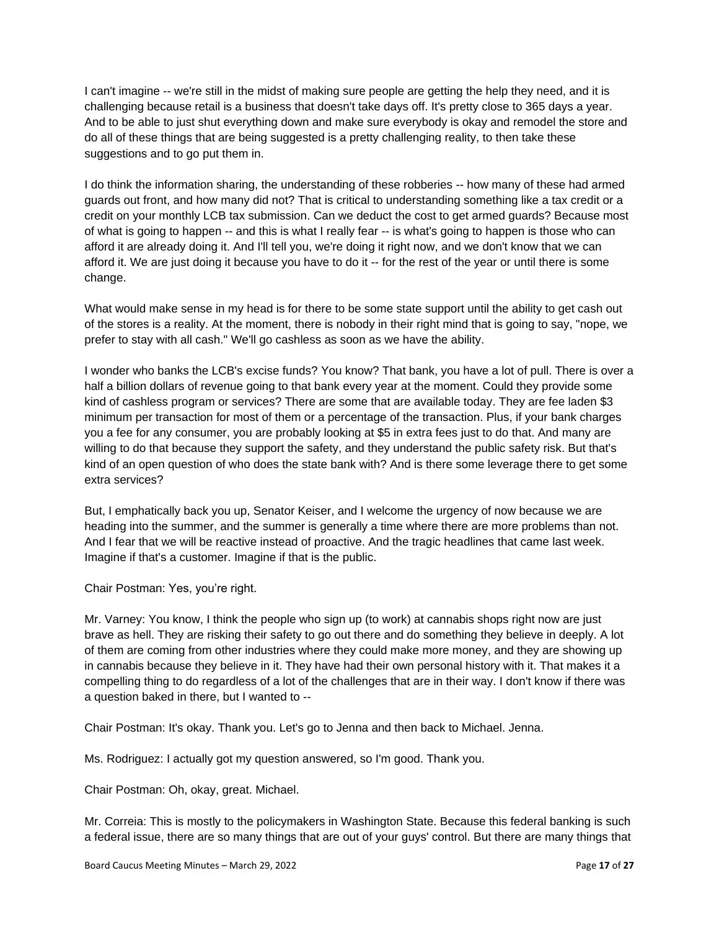I can't imagine -- we're still in the midst of making sure people are getting the help they need, and it is challenging because retail is a business that doesn't take days off. It's pretty close to 365 days a year. And to be able to just shut everything down and make sure everybody is okay and remodel the store and do all of these things that are being suggested is a pretty challenging reality, to then take these suggestions and to go put them in.

I do think the information sharing, the understanding of these robberies -- how many of these had armed guards out front, and how many did not? That is critical to understanding something like a tax credit or a credit on your monthly LCB tax submission. Can we deduct the cost to get armed guards? Because most of what is going to happen -- and this is what I really fear -- is what's going to happen is those who can afford it are already doing it. And I'll tell you, we're doing it right now, and we don't know that we can afford it. We are just doing it because you have to do it -- for the rest of the year or until there is some change.

What would make sense in my head is for there to be some state support until the ability to get cash out of the stores is a reality. At the moment, there is nobody in their right mind that is going to say, "nope, we prefer to stay with all cash." We'll go cashless as soon as we have the ability.

I wonder who banks the LCB's excise funds? You know? That bank, you have a lot of pull. There is over a half a billion dollars of revenue going to that bank every year at the moment. Could they provide some kind of cashless program or services? There are some that are available today. They are fee laden \$3 minimum per transaction for most of them or a percentage of the transaction. Plus, if your bank charges you a fee for any consumer, you are probably looking at \$5 in extra fees just to do that. And many are willing to do that because they support the safety, and they understand the public safety risk. But that's kind of an open question of who does the state bank with? And is there some leverage there to get some extra services?

But, I emphatically back you up, Senator Keiser, and I welcome the urgency of now because we are heading into the summer, and the summer is generally a time where there are more problems than not. And I fear that we will be reactive instead of proactive. And the tragic headlines that came last week. Imagine if that's a customer. Imagine if that is the public.

Chair Postman: Yes, you're right.

Mr. Varney: You know, I think the people who sign up (to work) at cannabis shops right now are just brave as hell. They are risking their safety to go out there and do something they believe in deeply. A lot of them are coming from other industries where they could make more money, and they are showing up in cannabis because they believe in it. They have had their own personal history with it. That makes it a compelling thing to do regardless of a lot of the challenges that are in their way. I don't know if there was a question baked in there, but I wanted to --

Chair Postman: It's okay. Thank you. Let's go to Jenna and then back to Michael. Jenna.

Ms. Rodriguez: I actually got my question answered, so I'm good. Thank you.

Chair Postman: Oh, okay, great. Michael.

Mr. Correia: This is mostly to the policymakers in Washington State. Because this federal banking is such a federal issue, there are so many things that are out of your guys' control. But there are many things that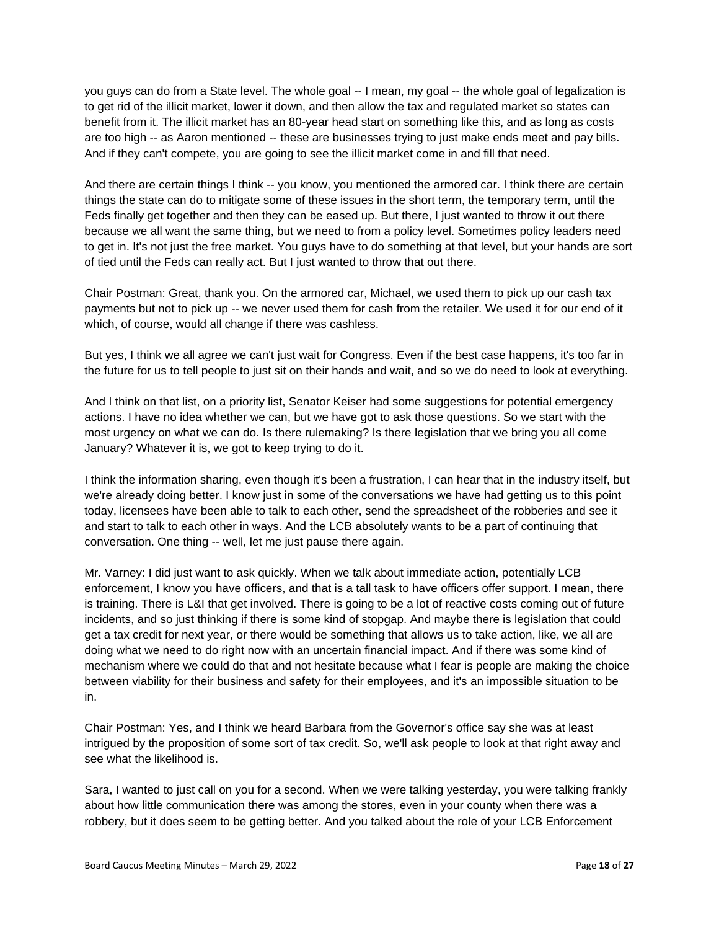you guys can do from a State level. The whole goal -- I mean, my goal -- the whole goal of legalization is to get rid of the illicit market, lower it down, and then allow the tax and regulated market so states can benefit from it. The illicit market has an 80-year head start on something like this, and as long as costs are too high -- as Aaron mentioned -- these are businesses trying to just make ends meet and pay bills. And if they can't compete, you are going to see the illicit market come in and fill that need.

And there are certain things I think -- you know, you mentioned the armored car. I think there are certain things the state can do to mitigate some of these issues in the short term, the temporary term, until the Feds finally get together and then they can be eased up. But there, I just wanted to throw it out there because we all want the same thing, but we need to from a policy level. Sometimes policy leaders need to get in. It's not just the free market. You guys have to do something at that level, but your hands are sort of tied until the Feds can really act. But I just wanted to throw that out there.

Chair Postman: Great, thank you. On the armored car, Michael, we used them to pick up our cash tax payments but not to pick up -- we never used them for cash from the retailer. We used it for our end of it which, of course, would all change if there was cashless.

But yes, I think we all agree we can't just wait for Congress. Even if the best case happens, it's too far in the future for us to tell people to just sit on their hands and wait, and so we do need to look at everything.

And I think on that list, on a priority list, Senator Keiser had some suggestions for potential emergency actions. I have no idea whether we can, but we have got to ask those questions. So we start with the most urgency on what we can do. Is there rulemaking? Is there legislation that we bring you all come January? Whatever it is, we got to keep trying to do it.

I think the information sharing, even though it's been a frustration, I can hear that in the industry itself, but we're already doing better. I know just in some of the conversations we have had getting us to this point today, licensees have been able to talk to each other, send the spreadsheet of the robberies and see it and start to talk to each other in ways. And the LCB absolutely wants to be a part of continuing that conversation. One thing -- well, let me just pause there again.

Mr. Varney: I did just want to ask quickly. When we talk about immediate action, potentially LCB enforcement, I know you have officers, and that is a tall task to have officers offer support. I mean, there is training. There is L&I that get involved. There is going to be a lot of reactive costs coming out of future incidents, and so just thinking if there is some kind of stopgap. And maybe there is legislation that could get a tax credit for next year, or there would be something that allows us to take action, like, we all are doing what we need to do right now with an uncertain financial impact. And if there was some kind of mechanism where we could do that and not hesitate because what I fear is people are making the choice between viability for their business and safety for their employees, and it's an impossible situation to be in.

Chair Postman: Yes, and I think we heard Barbara from the Governor's office say she was at least intrigued by the proposition of some sort of tax credit. So, we'll ask people to look at that right away and see what the likelihood is.

Sara, I wanted to just call on you for a second. When we were talking yesterday, you were talking frankly about how little communication there was among the stores, even in your county when there was a robbery, but it does seem to be getting better. And you talked about the role of your LCB Enforcement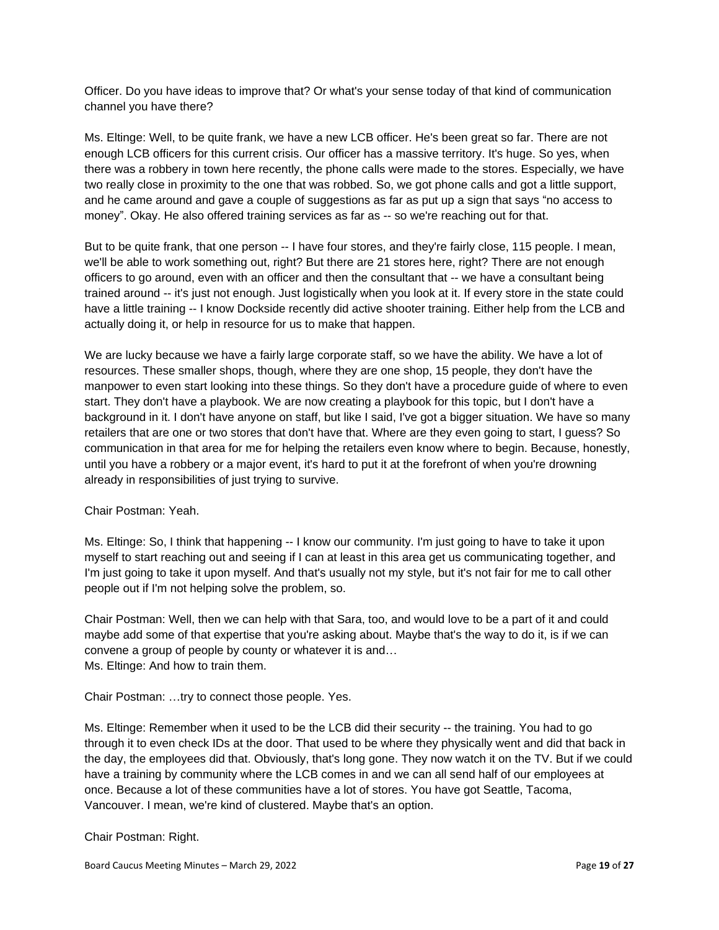Officer. Do you have ideas to improve that? Or what's your sense today of that kind of communication channel you have there?

Ms. Eltinge: Well, to be quite frank, we have a new LCB officer. He's been great so far. There are not enough LCB officers for this current crisis. Our officer has a massive territory. It's huge. So yes, when there was a robbery in town here recently, the phone calls were made to the stores. Especially, we have two really close in proximity to the one that was robbed. So, we got phone calls and got a little support, and he came around and gave a couple of suggestions as far as put up a sign that says "no access to money". Okay. He also offered training services as far as -- so we're reaching out for that.

But to be quite frank, that one person -- I have four stores, and they're fairly close, 115 people. I mean, we'll be able to work something out, right? But there are 21 stores here, right? There are not enough officers to go around, even with an officer and then the consultant that -- we have a consultant being trained around -- it's just not enough. Just logistically when you look at it. If every store in the state could have a little training -- I know Dockside recently did active shooter training. Either help from the LCB and actually doing it, or help in resource for us to make that happen.

We are lucky because we have a fairly large corporate staff, so we have the ability. We have a lot of resources. These smaller shops, though, where they are one shop, 15 people, they don't have the manpower to even start looking into these things. So they don't have a procedure guide of where to even start. They don't have a playbook. We are now creating a playbook for this topic, but I don't have a background in it. I don't have anyone on staff, but like I said, I've got a bigger situation. We have so many retailers that are one or two stores that don't have that. Where are they even going to start, I guess? So communication in that area for me for helping the retailers even know where to begin. Because, honestly, until you have a robbery or a major event, it's hard to put it at the forefront of when you're drowning already in responsibilities of just trying to survive.

#### Chair Postman: Yeah.

Ms. Eltinge: So, I think that happening -- I know our community. I'm just going to have to take it upon myself to start reaching out and seeing if I can at least in this area get us communicating together, and I'm just going to take it upon myself. And that's usually not my style, but it's not fair for me to call other people out if I'm not helping solve the problem, so.

Chair Postman: Well, then we can help with that Sara, too, and would love to be a part of it and could maybe add some of that expertise that you're asking about. Maybe that's the way to do it, is if we can convene a group of people by county or whatever it is and… Ms. Eltinge: And how to train them.

Chair Postman: …try to connect those people. Yes.

Ms. Eltinge: Remember when it used to be the LCB did their security -- the training. You had to go through it to even check IDs at the door. That used to be where they physically went and did that back in the day, the employees did that. Obviously, that's long gone. They now watch it on the TV. But if we could have a training by community where the LCB comes in and we can all send half of our employees at once. Because a lot of these communities have a lot of stores. You have got Seattle, Tacoma, Vancouver. I mean, we're kind of clustered. Maybe that's an option.

#### Chair Postman: Right.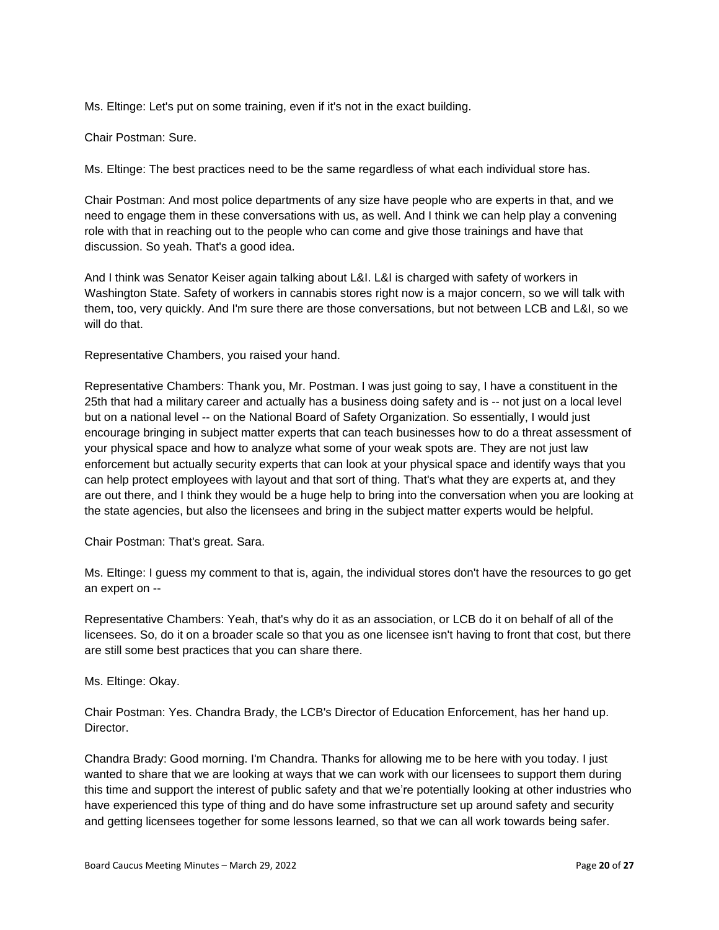Ms. Eltinge: Let's put on some training, even if it's not in the exact building.

Chair Postman: Sure.

Ms. Eltinge: The best practices need to be the same regardless of what each individual store has.

Chair Postman: And most police departments of any size have people who are experts in that, and we need to engage them in these conversations with us, as well. And I think we can help play a convening role with that in reaching out to the people who can come and give those trainings and have that discussion. So yeah. That's a good idea.

And I think was Senator Keiser again talking about L&I. L&I is charged with safety of workers in Washington State. Safety of workers in cannabis stores right now is a major concern, so we will talk with them, too, very quickly. And I'm sure there are those conversations, but not between LCB and L&I, so we will do that.

Representative Chambers, you raised your hand.

Representative Chambers: Thank you, Mr. Postman. I was just going to say, I have a constituent in the 25th that had a military career and actually has a business doing safety and is -- not just on a local level but on a national level -- on the National Board of Safety Organization. So essentially, I would just encourage bringing in subject matter experts that can teach businesses how to do a threat assessment of your physical space and how to analyze what some of your weak spots are. They are not just law enforcement but actually security experts that can look at your physical space and identify ways that you can help protect employees with layout and that sort of thing. That's what they are experts at, and they are out there, and I think they would be a huge help to bring into the conversation when you are looking at the state agencies, but also the licensees and bring in the subject matter experts would be helpful.

Chair Postman: That's great. Sara.

Ms. Eltinge: I guess my comment to that is, again, the individual stores don't have the resources to go get an expert on --

Representative Chambers: Yeah, that's why do it as an association, or LCB do it on behalf of all of the licensees. So, do it on a broader scale so that you as one licensee isn't having to front that cost, but there are still some best practices that you can share there.

Ms. Eltinge: Okay.

Chair Postman: Yes. Chandra Brady, the LCB's Director of Education Enforcement, has her hand up. Director.

Chandra Brady: Good morning. I'm Chandra. Thanks for allowing me to be here with you today. I just wanted to share that we are looking at ways that we can work with our licensees to support them during this time and support the interest of public safety and that we're potentially looking at other industries who have experienced this type of thing and do have some infrastructure set up around safety and security and getting licensees together for some lessons learned, so that we can all work towards being safer.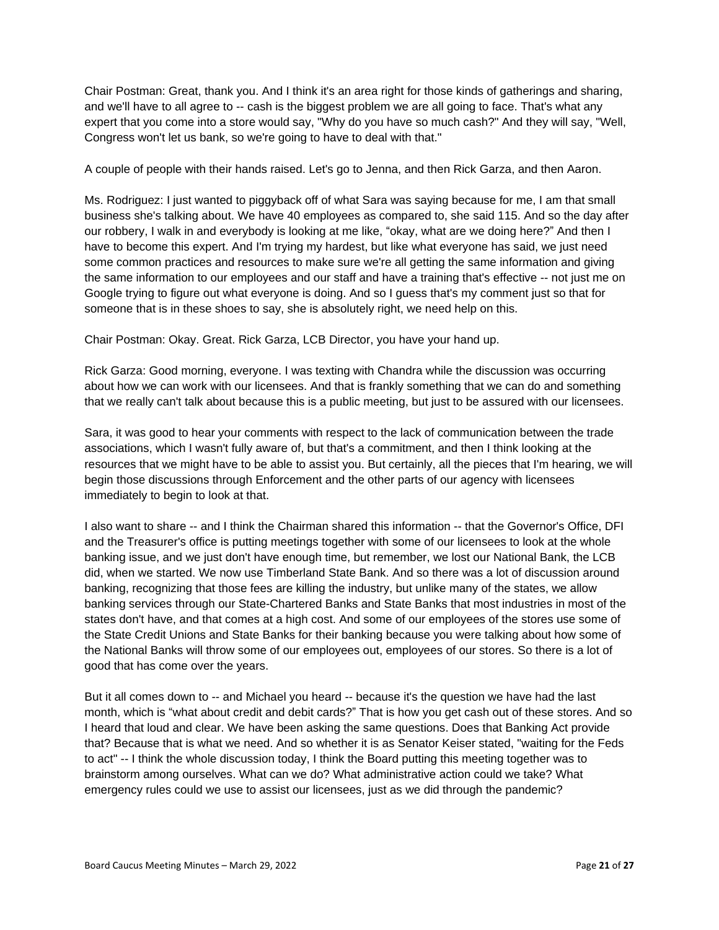Chair Postman: Great, thank you. And I think it's an area right for those kinds of gatherings and sharing, and we'll have to all agree to -- cash is the biggest problem we are all going to face. That's what any expert that you come into a store would say, "Why do you have so much cash?" And they will say, "Well, Congress won't let us bank, so we're going to have to deal with that."

A couple of people with their hands raised. Let's go to Jenna, and then Rick Garza, and then Aaron.

Ms. Rodriguez: I just wanted to piggyback off of what Sara was saying because for me, I am that small business she's talking about. We have 40 employees as compared to, she said 115. And so the day after our robbery, I walk in and everybody is looking at me like, "okay, what are we doing here?" And then I have to become this expert. And I'm trying my hardest, but like what everyone has said, we just need some common practices and resources to make sure we're all getting the same information and giving the same information to our employees and our staff and have a training that's effective -- not just me on Google trying to figure out what everyone is doing. And so I guess that's my comment just so that for someone that is in these shoes to say, she is absolutely right, we need help on this.

Chair Postman: Okay. Great. Rick Garza, LCB Director, you have your hand up.

Rick Garza: Good morning, everyone. I was texting with Chandra while the discussion was occurring about how we can work with our licensees. And that is frankly something that we can do and something that we really can't talk about because this is a public meeting, but just to be assured with our licensees.

Sara, it was good to hear your comments with respect to the lack of communication between the trade associations, which I wasn't fully aware of, but that's a commitment, and then I think looking at the resources that we might have to be able to assist you. But certainly, all the pieces that I'm hearing, we will begin those discussions through Enforcement and the other parts of our agency with licensees immediately to begin to look at that.

I also want to share -- and I think the Chairman shared this information -- that the Governor's Office, DFI and the Treasurer's office is putting meetings together with some of our licensees to look at the whole banking issue, and we just don't have enough time, but remember, we lost our National Bank, the LCB did, when we started. We now use Timberland State Bank. And so there was a lot of discussion around banking, recognizing that those fees are killing the industry, but unlike many of the states, we allow banking services through our State-Chartered Banks and State Banks that most industries in most of the states don't have, and that comes at a high cost. And some of our employees of the stores use some of the State Credit Unions and State Banks for their banking because you were talking about how some of the National Banks will throw some of our employees out, employees of our stores. So there is a lot of good that has come over the years.

But it all comes down to -- and Michael you heard -- because it's the question we have had the last month, which is "what about credit and debit cards?" That is how you get cash out of these stores. And so I heard that loud and clear. We have been asking the same questions. Does that Banking Act provide that? Because that is what we need. And so whether it is as Senator Keiser stated, "waiting for the Feds to act" -- I think the whole discussion today, I think the Board putting this meeting together was to brainstorm among ourselves. What can we do? What administrative action could we take? What emergency rules could we use to assist our licensees, just as we did through the pandemic?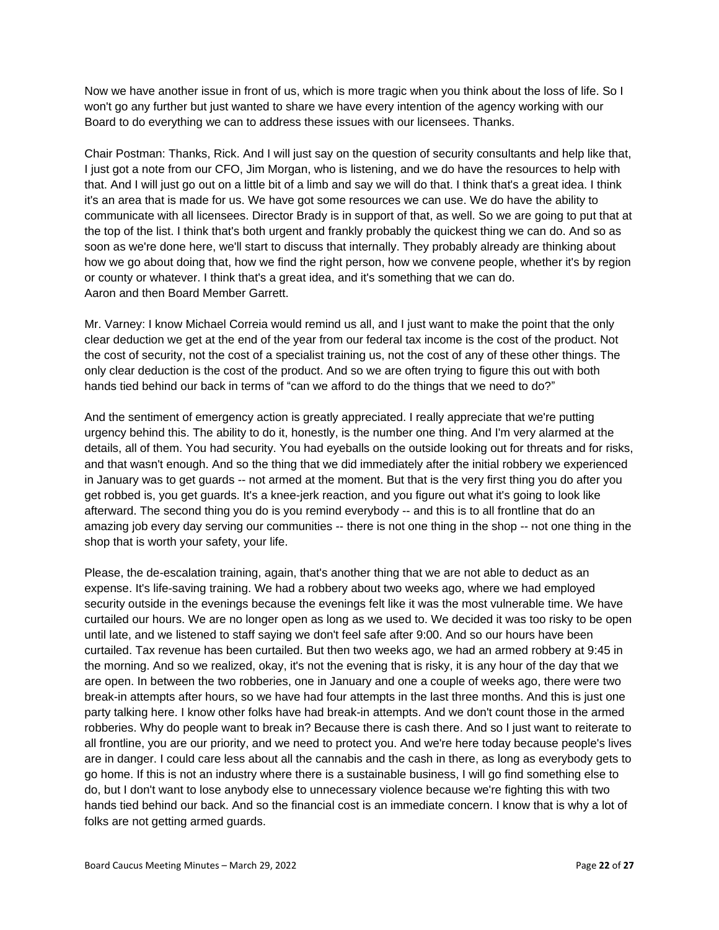Now we have another issue in front of us, which is more tragic when you think about the loss of life. So I won't go any further but just wanted to share we have every intention of the agency working with our Board to do everything we can to address these issues with our licensees. Thanks.

Chair Postman: Thanks, Rick. And I will just say on the question of security consultants and help like that, I just got a note from our CFO, Jim Morgan, who is listening, and we do have the resources to help with that. And I will just go out on a little bit of a limb and say we will do that. I think that's a great idea. I think it's an area that is made for us. We have got some resources we can use. We do have the ability to communicate with all licensees. Director Brady is in support of that, as well. So we are going to put that at the top of the list. I think that's both urgent and frankly probably the quickest thing we can do. And so as soon as we're done here, we'll start to discuss that internally. They probably already are thinking about how we go about doing that, how we find the right person, how we convene people, whether it's by region or county or whatever. I think that's a great idea, and it's something that we can do. Aaron and then Board Member Garrett.

Mr. Varney: I know Michael Correia would remind us all, and I just want to make the point that the only clear deduction we get at the end of the year from our federal tax income is the cost of the product. Not the cost of security, not the cost of a specialist training us, not the cost of any of these other things. The only clear deduction is the cost of the product. And so we are often trying to figure this out with both hands tied behind our back in terms of "can we afford to do the things that we need to do?"

And the sentiment of emergency action is greatly appreciated. I really appreciate that we're putting urgency behind this. The ability to do it, honestly, is the number one thing. And I'm very alarmed at the details, all of them. You had security. You had eyeballs on the outside looking out for threats and for risks, and that wasn't enough. And so the thing that we did immediately after the initial robbery we experienced in January was to get guards -- not armed at the moment. But that is the very first thing you do after you get robbed is, you get guards. It's a knee-jerk reaction, and you figure out what it's going to look like afterward. The second thing you do is you remind everybody -- and this is to all frontline that do an amazing job every day serving our communities -- there is not one thing in the shop -- not one thing in the shop that is worth your safety, your life.

Please, the de-escalation training, again, that's another thing that we are not able to deduct as an expense. It's life-saving training. We had a robbery about two weeks ago, where we had employed security outside in the evenings because the evenings felt like it was the most vulnerable time. We have curtailed our hours. We are no longer open as long as we used to. We decided it was too risky to be open until late, and we listened to staff saying we don't feel safe after 9:00. And so our hours have been curtailed. Tax revenue has been curtailed. But then two weeks ago, we had an armed robbery at 9:45 in the morning. And so we realized, okay, it's not the evening that is risky, it is any hour of the day that we are open. In between the two robberies, one in January and one a couple of weeks ago, there were two break-in attempts after hours, so we have had four attempts in the last three months. And this is just one party talking here. I know other folks have had break-in attempts. And we don't count those in the armed robberies. Why do people want to break in? Because there is cash there. And so I just want to reiterate to all frontline, you are our priority, and we need to protect you. And we're here today because people's lives are in danger. I could care less about all the cannabis and the cash in there, as long as everybody gets to go home. If this is not an industry where there is a sustainable business, I will go find something else to do, but I don't want to lose anybody else to unnecessary violence because we're fighting this with two hands tied behind our back. And so the financial cost is an immediate concern. I know that is why a lot of folks are not getting armed guards.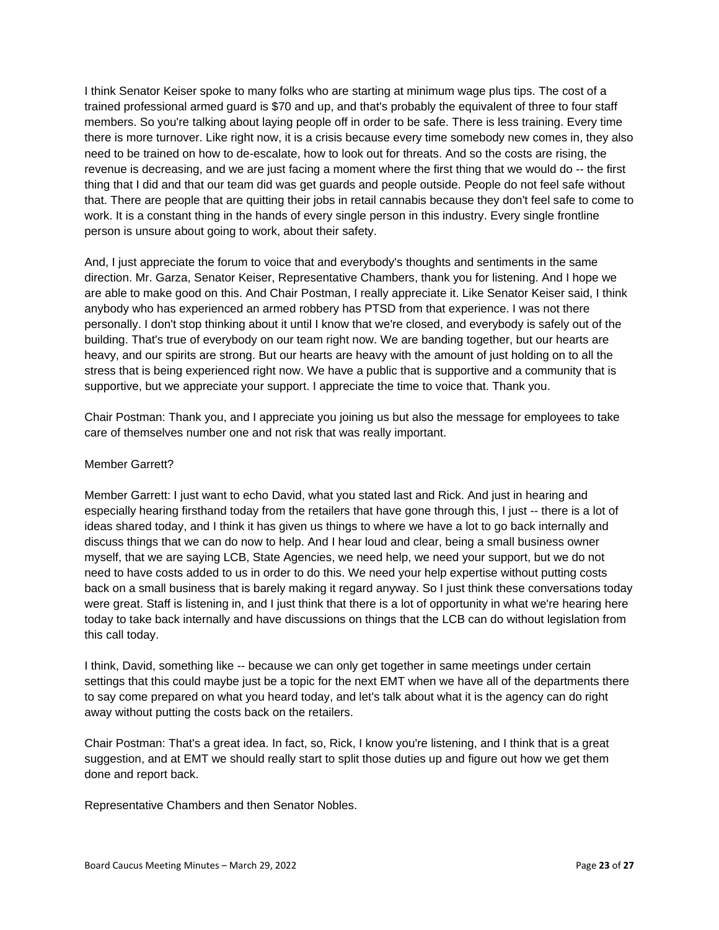I think Senator Keiser spoke to many folks who are starting at minimum wage plus tips. The cost of a trained professional armed guard is \$70 and up, and that's probably the equivalent of three to four staff members. So you're talking about laying people off in order to be safe. There is less training. Every time there is more turnover. Like right now, it is a crisis because every time somebody new comes in, they also need to be trained on how to de-escalate, how to look out for threats. And so the costs are rising, the revenue is decreasing, and we are just facing a moment where the first thing that we would do -- the first thing that I did and that our team did was get guards and people outside. People do not feel safe without that. There are people that are quitting their jobs in retail cannabis because they don't feel safe to come to work. It is a constant thing in the hands of every single person in this industry. Every single frontline person is unsure about going to work, about their safety.

And, I just appreciate the forum to voice that and everybody's thoughts and sentiments in the same direction. Mr. Garza, Senator Keiser, Representative Chambers, thank you for listening. And I hope we are able to make good on this. And Chair Postman, I really appreciate it. Like Senator Keiser said, I think anybody who has experienced an armed robbery has PTSD from that experience. I was not there personally. I don't stop thinking about it until I know that we're closed, and everybody is safely out of the building. That's true of everybody on our team right now. We are banding together, but our hearts are heavy, and our spirits are strong. But our hearts are heavy with the amount of just holding on to all the stress that is being experienced right now. We have a public that is supportive and a community that is supportive, but we appreciate your support. I appreciate the time to voice that. Thank you.

Chair Postman: Thank you, and I appreciate you joining us but also the message for employees to take care of themselves number one and not risk that was really important.

#### Member Garrett?

Member Garrett: I just want to echo David, what you stated last and Rick. And just in hearing and especially hearing firsthand today from the retailers that have gone through this, I just -- there is a lot of ideas shared today, and I think it has given us things to where we have a lot to go back internally and discuss things that we can do now to help. And I hear loud and clear, being a small business owner myself, that we are saying LCB, State Agencies, we need help, we need your support, but we do not need to have costs added to us in order to do this. We need your help expertise without putting costs back on a small business that is barely making it regard anyway. So I just think these conversations today were great. Staff is listening in, and I just think that there is a lot of opportunity in what we're hearing here today to take back internally and have discussions on things that the LCB can do without legislation from this call today.

I think, David, something like -- because we can only get together in same meetings under certain settings that this could maybe just be a topic for the next EMT when we have all of the departments there to say come prepared on what you heard today, and let's talk about what it is the agency can do right away without putting the costs back on the retailers.

Chair Postman: That's a great idea. In fact, so, Rick, I know you're listening, and I think that is a great suggestion, and at EMT we should really start to split those duties up and figure out how we get them done and report back.

Representative Chambers and then Senator Nobles.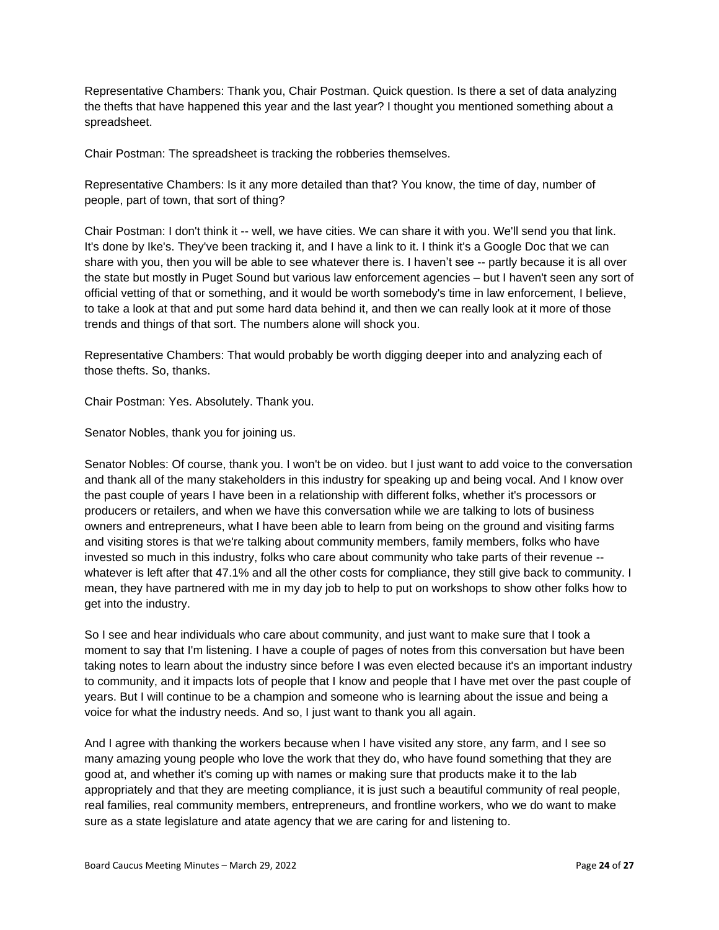Representative Chambers: Thank you, Chair Postman. Quick question. Is there a set of data analyzing the thefts that have happened this year and the last year? I thought you mentioned something about a spreadsheet.

Chair Postman: The spreadsheet is tracking the robberies themselves.

Representative Chambers: Is it any more detailed than that? You know, the time of day, number of people, part of town, that sort of thing?

Chair Postman: I don't think it -- well, we have cities. We can share it with you. We'll send you that link. It's done by Ike's. They've been tracking it, and I have a link to it. I think it's a Google Doc that we can share with you, then you will be able to see whatever there is. I haven't see -- partly because it is all over the state but mostly in Puget Sound but various law enforcement agencies – but I haven't seen any sort of official vetting of that or something, and it would be worth somebody's time in law enforcement, I believe, to take a look at that and put some hard data behind it, and then we can really look at it more of those trends and things of that sort. The numbers alone will shock you.

Representative Chambers: That would probably be worth digging deeper into and analyzing each of those thefts. So, thanks.

Chair Postman: Yes. Absolutely. Thank you.

Senator Nobles, thank you for joining us.

Senator Nobles: Of course, thank you. I won't be on video. but I just want to add voice to the conversation and thank all of the many stakeholders in this industry for speaking up and being vocal. And I know over the past couple of years I have been in a relationship with different folks, whether it's processors or producers or retailers, and when we have this conversation while we are talking to lots of business owners and entrepreneurs, what I have been able to learn from being on the ground and visiting farms and visiting stores is that we're talking about community members, family members, folks who have invested so much in this industry, folks who care about community who take parts of their revenue - whatever is left after that 47.1% and all the other costs for compliance, they still give back to community. I mean, they have partnered with me in my day job to help to put on workshops to show other folks how to get into the industry.

So I see and hear individuals who care about community, and just want to make sure that I took a moment to say that I'm listening. I have a couple of pages of notes from this conversation but have been taking notes to learn about the industry since before I was even elected because it's an important industry to community, and it impacts lots of people that I know and people that I have met over the past couple of years. But I will continue to be a champion and someone who is learning about the issue and being a voice for what the industry needs. And so, I just want to thank you all again.

And I agree with thanking the workers because when I have visited any store, any farm, and I see so many amazing young people who love the work that they do, who have found something that they are good at, and whether it's coming up with names or making sure that products make it to the lab appropriately and that they are meeting compliance, it is just such a beautiful community of real people, real families, real community members, entrepreneurs, and frontline workers, who we do want to make sure as a state legislature and atate agency that we are caring for and listening to.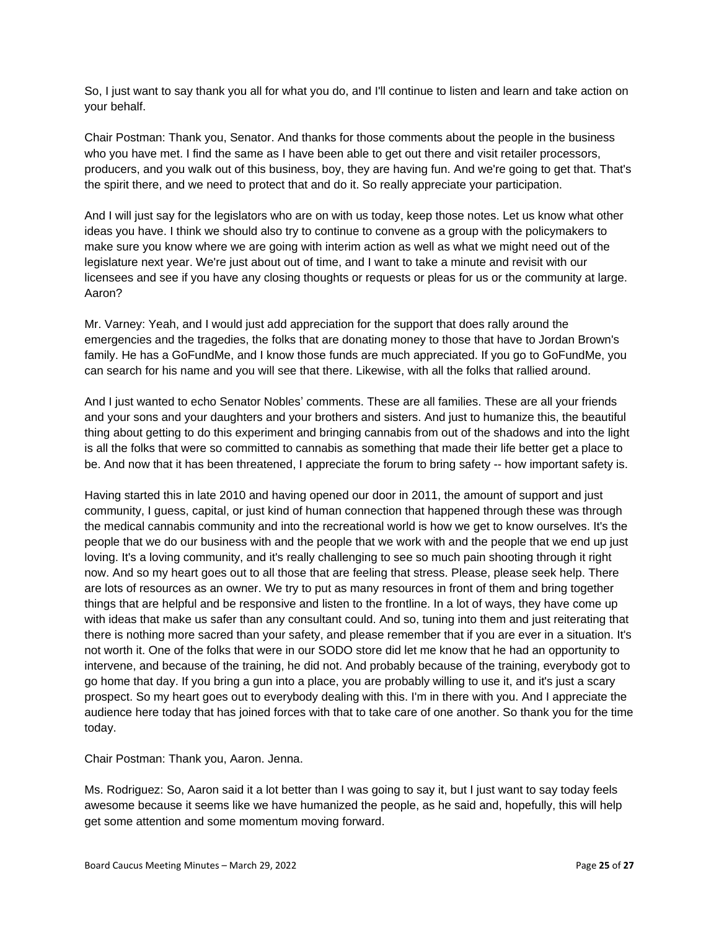So, I just want to say thank you all for what you do, and I'll continue to listen and learn and take action on your behalf.

Chair Postman: Thank you, Senator. And thanks for those comments about the people in the business who you have met. I find the same as I have been able to get out there and visit retailer processors, producers, and you walk out of this business, boy, they are having fun. And we're going to get that. That's the spirit there, and we need to protect that and do it. So really appreciate your participation.

And I will just say for the legislators who are on with us today, keep those notes. Let us know what other ideas you have. I think we should also try to continue to convene as a group with the policymakers to make sure you know where we are going with interim action as well as what we might need out of the legislature next year. We're just about out of time, and I want to take a minute and revisit with our licensees and see if you have any closing thoughts or requests or pleas for us or the community at large. Aaron?

Mr. Varney: Yeah, and I would just add appreciation for the support that does rally around the emergencies and the tragedies, the folks that are donating money to those that have to Jordan Brown's family. He has a GoFundMe, and I know those funds are much appreciated. If you go to GoFundMe, you can search for his name and you will see that there. Likewise, with all the folks that rallied around.

And I just wanted to echo Senator Nobles' comments. These are all families. These are all your friends and your sons and your daughters and your brothers and sisters. And just to humanize this, the beautiful thing about getting to do this experiment and bringing cannabis from out of the shadows and into the light is all the folks that were so committed to cannabis as something that made their life better get a place to be. And now that it has been threatened, I appreciate the forum to bring safety -- how important safety is.

Having started this in late 2010 and having opened our door in 2011, the amount of support and just community, I guess, capital, or just kind of human connection that happened through these was through the medical cannabis community and into the recreational world is how we get to know ourselves. It's the people that we do our business with and the people that we work with and the people that we end up just loving. It's a loving community, and it's really challenging to see so much pain shooting through it right now. And so my heart goes out to all those that are feeling that stress. Please, please seek help. There are lots of resources as an owner. We try to put as many resources in front of them and bring together things that are helpful and be responsive and listen to the frontline. In a lot of ways, they have come up with ideas that make us safer than any consultant could. And so, tuning into them and just reiterating that there is nothing more sacred than your safety, and please remember that if you are ever in a situation. It's not worth it. One of the folks that were in our SODO store did let me know that he had an opportunity to intervene, and because of the training, he did not. And probably because of the training, everybody got to go home that day. If you bring a gun into a place, you are probably willing to use it, and it's just a scary prospect. So my heart goes out to everybody dealing with this. I'm in there with you. And I appreciate the audience here today that has joined forces with that to take care of one another. So thank you for the time today.

Chair Postman: Thank you, Aaron. Jenna.

Ms. Rodriguez: So, Aaron said it a lot better than I was going to say it, but I just want to say today feels awesome because it seems like we have humanized the people, as he said and, hopefully, this will help get some attention and some momentum moving forward.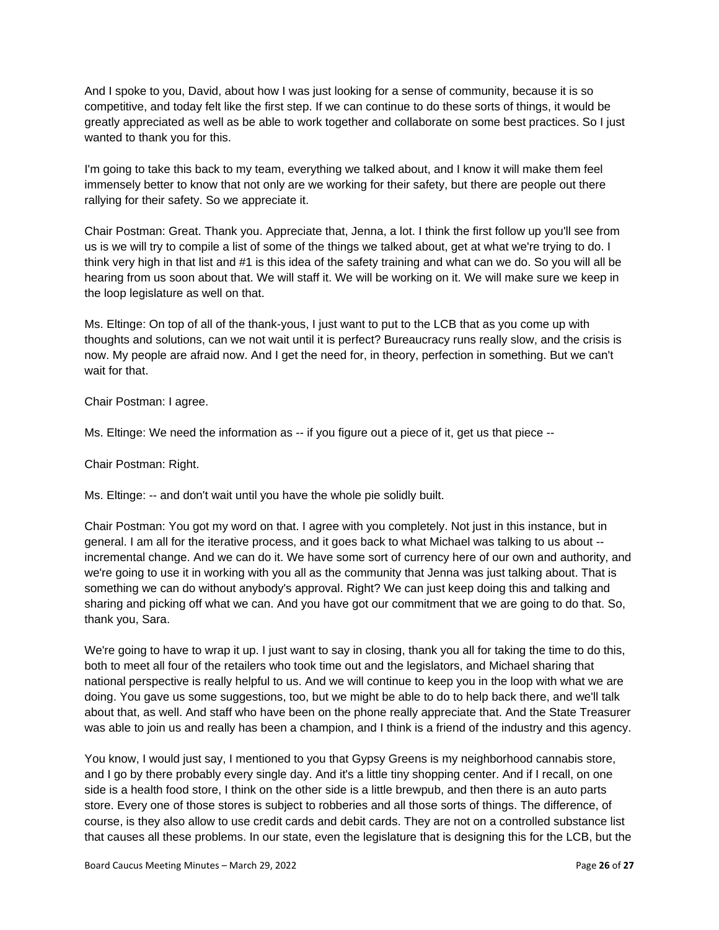And I spoke to you, David, about how I was just looking for a sense of community, because it is so competitive, and today felt like the first step. If we can continue to do these sorts of things, it would be greatly appreciated as well as be able to work together and collaborate on some best practices. So I just wanted to thank you for this.

I'm going to take this back to my team, everything we talked about, and I know it will make them feel immensely better to know that not only are we working for their safety, but there are people out there rallying for their safety. So we appreciate it.

Chair Postman: Great. Thank you. Appreciate that, Jenna, a lot. I think the first follow up you'll see from us is we will try to compile a list of some of the things we talked about, get at what we're trying to do. I think very high in that list and #1 is this idea of the safety training and what can we do. So you will all be hearing from us soon about that. We will staff it. We will be working on it. We will make sure we keep in the loop legislature as well on that.

Ms. Eltinge: On top of all of the thank-yous, I just want to put to the LCB that as you come up with thoughts and solutions, can we not wait until it is perfect? Bureaucracy runs really slow, and the crisis is now. My people are afraid now. And I get the need for, in theory, perfection in something. But we can't wait for that.

Chair Postman: I agree.

Ms. Eltinge: We need the information as -- if you figure out a piece of it, get us that piece --

Chair Postman: Right.

Ms. Eltinge: -- and don't wait until you have the whole pie solidly built.

Chair Postman: You got my word on that. I agree with you completely. Not just in this instance, but in general. I am all for the iterative process, and it goes back to what Michael was talking to us about - incremental change. And we can do it. We have some sort of currency here of our own and authority, and we're going to use it in working with you all as the community that Jenna was just talking about. That is something we can do without anybody's approval. Right? We can just keep doing this and talking and sharing and picking off what we can. And you have got our commitment that we are going to do that. So, thank you, Sara.

We're going to have to wrap it up. I just want to say in closing, thank you all for taking the time to do this, both to meet all four of the retailers who took time out and the legislators, and Michael sharing that national perspective is really helpful to us. And we will continue to keep you in the loop with what we are doing. You gave us some suggestions, too, but we might be able to do to help back there, and we'll talk about that, as well. And staff who have been on the phone really appreciate that. And the State Treasurer was able to join us and really has been a champion, and I think is a friend of the industry and this agency.

You know, I would just say, I mentioned to you that Gypsy Greens is my neighborhood cannabis store, and I go by there probably every single day. And it's a little tiny shopping center. And if I recall, on one side is a health food store, I think on the other side is a little brewpub, and then there is an auto parts store. Every one of those stores is subject to robberies and all those sorts of things. The difference, of course, is they also allow to use credit cards and debit cards. They are not on a controlled substance list that causes all these problems. In our state, even the legislature that is designing this for the LCB, but the